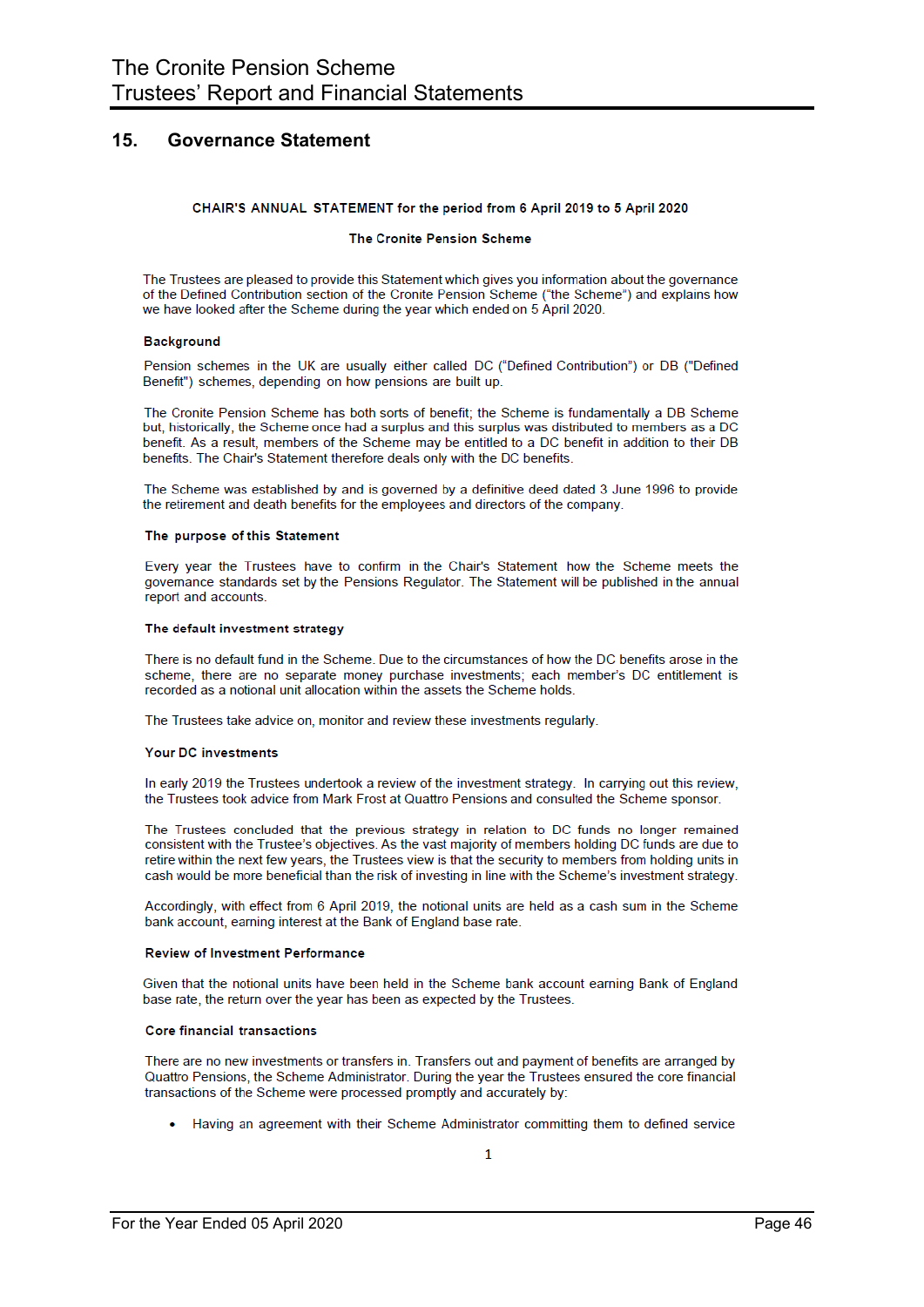#### $15.$ **Governance Statement**

### CHAIR'S ANNUAL STATEMENT for the period from 6 April 2019 to 5 April 2020

### The Cronite Pension Scheme

The Trustees are pleased to provide this Statement which gives you information about the governance of the Defined Contribution section of the Cronite Pension Scheme ("the Scheme") and explains how we have looked after the Scheme during the year which ended on 5 April 2020.

### **Background**

Pension schemes in the UK are usually either called DC ("Defined Contribution") or DB ("Defined Benefit") schemes, depending on how pensions are built up.

The Cronite Pension Scheme has both sorts of benefit; the Scheme is fundamentally a DB Scheme but, historically, the Scheme once had a surplus and this surplus was distributed to members as a DC benefit. As a result, members of the Scheme may be entitled to a DC benefit in addition to their DB benefits. The Chair's Statement therefore deals only with the DC benefits.

The Scheme was established by and is governed by a definitive deed dated 3 June 1996 to provide the retirement and death benefits for the employees and directors of the company.

### The purpose of this Statement

Every year the Trustees have to confirm in the Chair's Statement how the Scheme meets the governance standards set by the Pensions Regulator. The Statement will be published in the annual report and accounts.

#### The default investment strategy

There is no default fund in the Scheme. Due to the circumstances of how the DC benefits arose in the scheme, there are no separate money purchase investments; each member's DC entitlement is recorded as a notional unit allocation within the assets the Scheme holds.

The Trustees take advice on, monitor and review these investments regularly.

### **Your DC investments**

In early 2019 the Trustees undertook a review of the investment strategy. In carrying out this review, the Trustees took advice from Mark Frost at Quattro Pensions and consulted the Scheme sponsor.

The Trustees concluded that the previous strategy in relation to DC funds no longer remained consistent with the Trustee's objectives. As the vast majority of members holding DC funds are due to retire within the next few years, the Trustees view is that the security to members from holding units in cash would be more beneficial than the risk of investing in line with the Scheme's investment strategy.

Accordingly, with effect from 6 April 2019, the notional units are held as a cash sum in the Scheme bank account, earning interest at the Bank of England base rate.

### **Review of Investment Performance**

Given that the notional units have been held in the Scheme bank account earning Bank of England base rate, the return over the year has been as expected by the Trustees.

### **Core financial transactions**

There are no new investments or transfers in. Transfers out and payment of benefits are arranged by Quattro Pensions, the Scheme Administrator. During the year the Trustees ensured the core financial transactions of the Scheme were processed promptly and accurately by:

Having an agreement with their Scheme Administrator committing them to defined service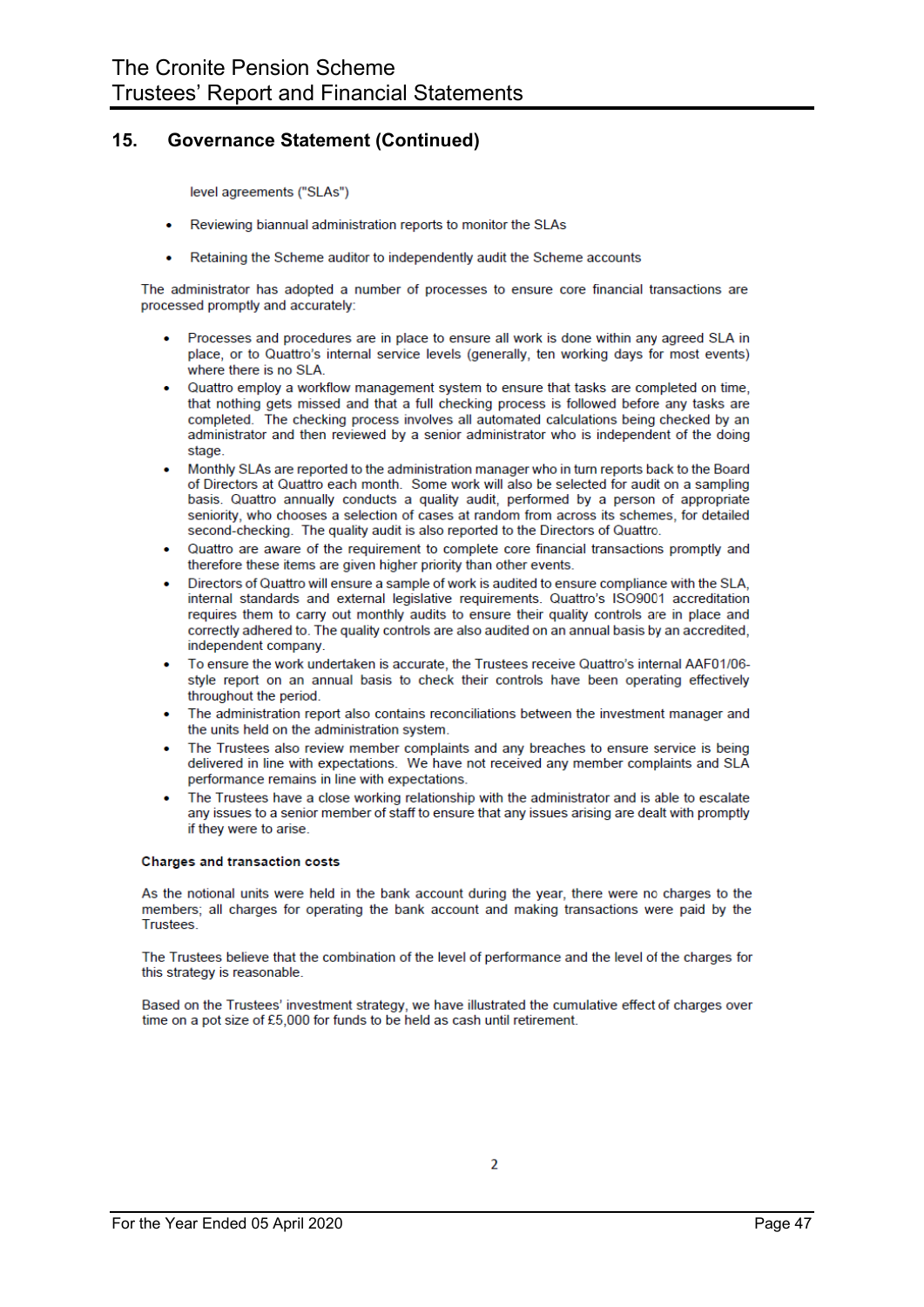#### 15. **Governance Statement (Continued)**

level agreements ("SLAs")

- Reviewing biannual administration reports to monitor the SLAs
- Retaining the Scheme auditor to independently audit the Scheme accounts

The administrator has adopted a number of processes to ensure core financial transactions are processed promptly and accurately:

- Processes and procedures are in place to ensure all work is done within any agreed SLA in place, or to Quattro's internal service levels (generally, ten working days for most events) where there is no SLA.
- Quattro employ a workflow management system to ensure that tasks are completed on time. that nothing gets missed and that a full checking process is followed before any tasks are completed. The checking process involves all automated calculations being checked by an administrator and then reviewed by a senior administrator who is independent of the doing stage
- Monthly SLAs are reported to the administration manager who in turn reports back to the Board of Directors at Quattro each month. Some work will also be selected for audit on a sampling basis. Quattro annually conducts a quality audit, performed by a person of appropriate seniority, who chooses a selection of cases at random from across its schemes, for detailed second-checking. The quality audit is also reported to the Directors of Quattro.
- Quattro are aware of the requirement to complete core financial transactions promptly and therefore these items are given higher priority than other events.
- Directors of Quattro will ensure a sample of work is audited to ensure compliance with the SLA, internal standards and external legislative requirements. Quattro's ISO9001 accreditation requires them to carry out monthly audits to ensure their quality controls are in place and correctly adhered to. The quality controls are also audited on an annual basis by an accredited, independent company.
- To ensure the work undertaken is accurate, the Trustees receive Quattro's internal AAF01/06style report on an annual basis to check their controls have been operating effectively throughout the period.
- The administration report also contains reconciliations between the investment manager and the units held on the administration system.
- The Trustees also review member complaints and any breaches to ensure service is being delivered in line with expectations. We have not received any member complaints and SLA performance remains in line with expectations.
- The Trustees have a close working relationship with the administrator and is able to escalate any issues to a senior member of staff to ensure that any issues arising are dealt with promptly if they were to arise.

### **Charges and transaction costs**

As the notional units were held in the bank account during the year, there were no charges to the members; all charges for operating the bank account and making transactions were paid by the **Trustees** 

The Trustees believe that the combination of the level of performance and the level of the charges for this strategy is reasonable.

Based on the Trustees' investment strategy, we have illustrated the cumulative effect of charges over time on a pot size of £5,000 for funds to be held as cash until retirement.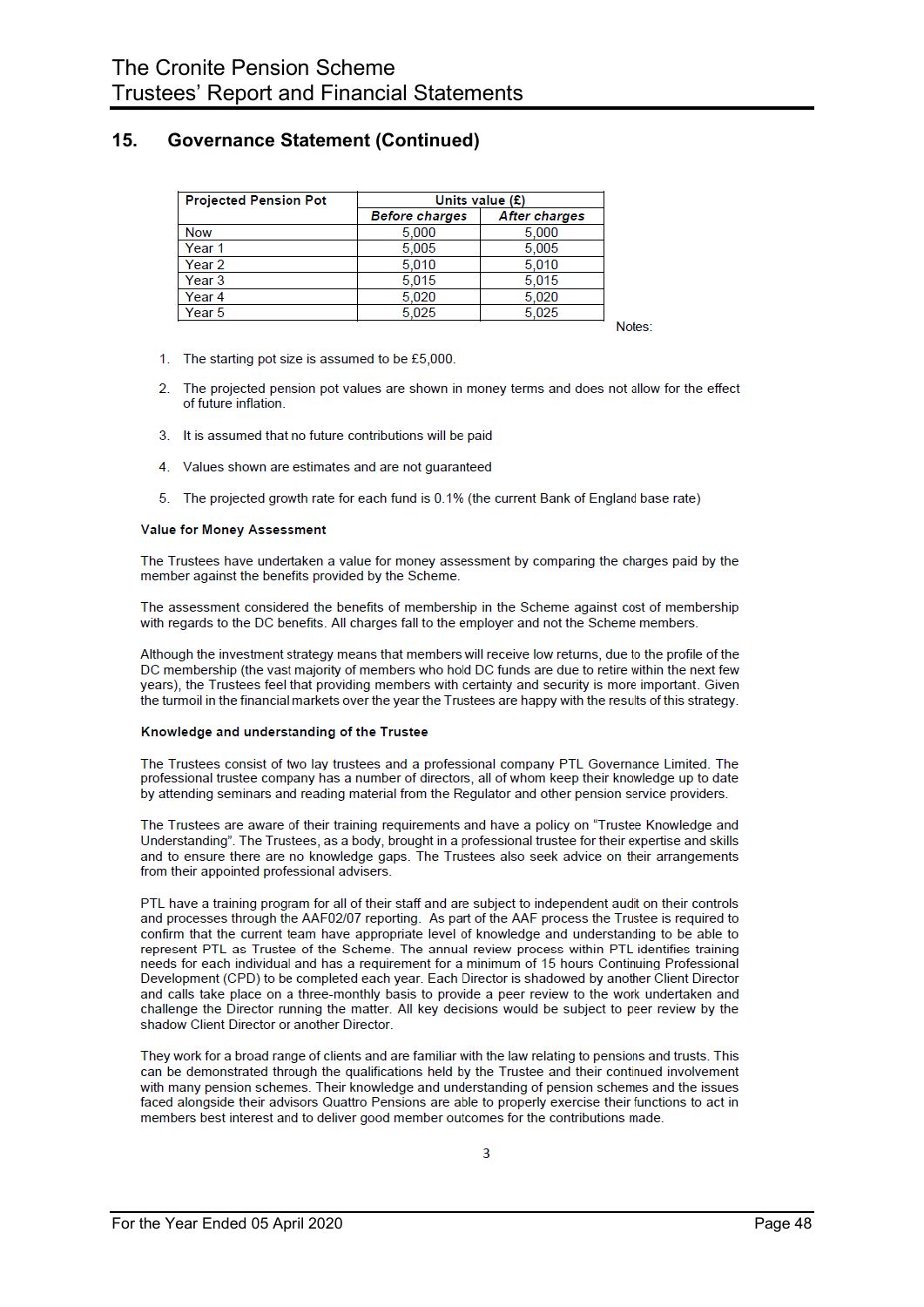#### 15. **Governance Statement (Continued)**

| <b>Projected Pension Pot</b> | Units value $(E)$     |               |  |  |  |
|------------------------------|-----------------------|---------------|--|--|--|
|                              | <b>Before charges</b> | After charges |  |  |  |
| <b>Now</b>                   | 5.000                 | 5.000         |  |  |  |
| Year <sub>1</sub>            | 5.005                 | 5,005         |  |  |  |
| Year <sub>2</sub>            | 5.010                 | 5.010         |  |  |  |
| Year <sub>3</sub>            | 5.015                 | 5.015         |  |  |  |
| Year <sub>4</sub>            | 5.020                 | 5.020         |  |  |  |
| Year 5                       | 5.025                 | 5.025         |  |  |  |

Notes:

- 1. The starting pot size is assumed to be £5,000.
- $\mathcal{D}$ The projected pension pot values are shown in money terms and does not allow for the effect of future inflation
- 3. It is assumed that no future contributions will be paid
- 4. Values shown are estimates and are not quaranteed
- 5. The projected growth rate for each fund is 0.1% (the current Bank of England base rate)

### Value for Money Assessment

The Trustees have undertaken a value for money assessment by comparing the charges paid by the member against the benefits provided by the Scheme.

The assessment considered the benefits of membership in the Scheme against cost of membership with regards to the DC benefits. All charges fall to the employer and not the Scheme members.

Although the investment strategy means that members will receive low returns, due to the profile of the DC membership (the vast majority of members who hold DC funds are due to retire within the next few years), the Trustees feel that providing members with certainty and security is more important. Given the turmoil in the financial markets over the year the Trustees are happy with the results of this strategy.

### Knowledge and understanding of the Trustee

The Trustees consist of two lay trustees and a professional company PTL Governance Limited. The professional trustee company has a number of directors, all of whom keep their knowledge up to date by attending seminars and reading material from the Regulator and other pension service providers.

The Trustees are aware of their training requirements and have a policy on "Trustee Knowledge and Understanding". The Trustees, as a body, brought in a professional trustee for their expertise and skills and to ensure there are no knowledge gaps. The Trustees also seek advice on their arrangements from their appointed professional advisers.

PTL have a training program for all of their staff and are subject to independent audit on their controls and processes through the AAF02/07 reporting. As part of the AAF process the Trustee is required to confirm that the current team have appropriate level of knowledge and understanding to be able to represent PTL as Trustee of the Scheme. The annual review process within PTL identifies training needs for each individual and has a requirement for a minimum of 15 hours Continuing Professional Development (CPD) to be completed each year. Each Director is shadowed by another Client Director and calls take place on a three-monthly basis to provide a peer review to the work undertaken and challenge the Director running the matter. All key decisions would be subject to peer review by the shadow Client Director or another Director.

They work for a broad range of clients and are familiar with the law relating to pensions and trusts. This can be demonstrated through the qualifications held by the Trustee and their continued involvement with many pension schemes. Their knowledge and understanding of pension schemes and the issues faced alongside their advisors Quattro Pensions are able to properly exercise their functions to act in members best interest and to deliver good member outcomes for the contributions made.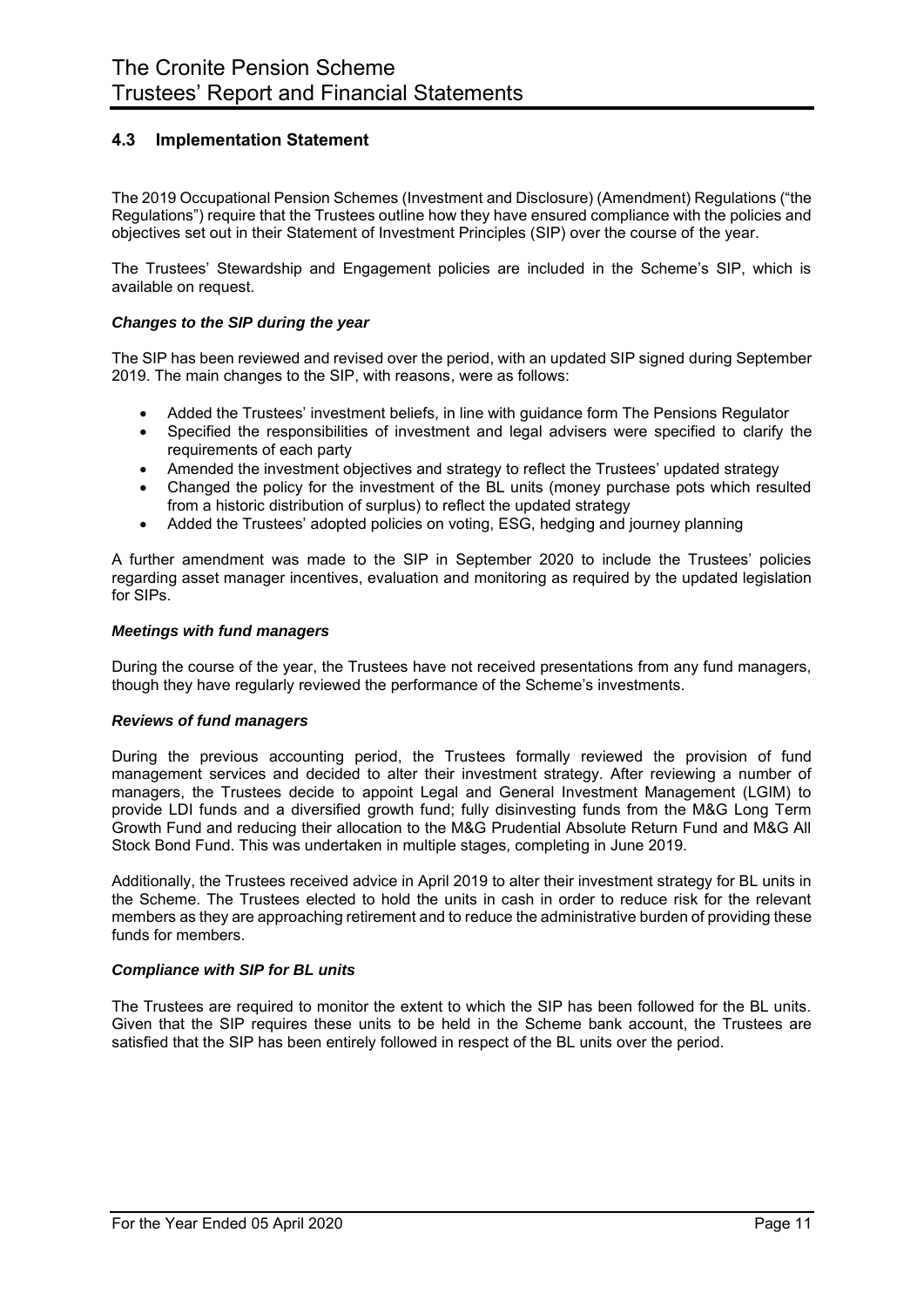## **4.3 Implementation Statement**

The 2019 Occupational Pension Schemes (Investment and Disclosure) (Amendment) Regulations ("the Regulations") require that the Trustees outline how they have ensured compliance with the policies and objectives set out in their Statement of Investment Principles (SIP) over the course of the year.

The Trustees' Stewardship and Engagement policies are included in the Scheme's SIP, which is available on request.

## *Changes to the SIP during the year*

The SIP has been reviewed and revised over the period, with an updated SIP signed during September 2019. The main changes to the SIP, with reasons, were as follows:

- Added the Trustees' investment beliefs, in line with guidance form The Pensions Regulator
- Specified the responsibilities of investment and legal advisers were specified to clarify the requirements of each party
- Amended the investment objectives and strategy to reflect the Trustees' updated strategy
- Changed the policy for the investment of the BL units (money purchase pots which resulted from a historic distribution of surplus) to reflect the updated strategy
- Added the Trustees' adopted policies on voting, ESG, hedging and journey planning

A further amendment was made to the SIP in September 2020 to include the Trustees' policies regarding asset manager incentives, evaluation and monitoring as required by the updated legislation for SIPs.

### *Meetings with fund managers*

During the course of the year, the Trustees have not received presentations from any fund managers, though they have regularly reviewed the performance of the Scheme's investments.

## *Reviews of fund managers*

During the previous accounting period, the Trustees formally reviewed the provision of fund management services and decided to alter their investment strategy. After reviewing a number of managers, the Trustees decide to appoint Legal and General Investment Management (LGIM) to provide LDI funds and a diversified growth fund; fully disinvesting funds from the M&G Long Term Growth Fund and reducing their allocation to the M&G Prudential Absolute Return Fund and M&G All Stock Bond Fund. This was undertaken in multiple stages, completing in June 2019.

Additionally, the Trustees received advice in April 2019 to alter their investment strategy for BL units in the Scheme. The Trustees elected to hold the units in cash in order to reduce risk for the relevant members as they are approaching retirement and to reduce the administrative burden of providing these funds for members.

### *Compliance with SIP for BL units*

The Trustees are required to monitor the extent to which the SIP has been followed for the BL units. Given that the SIP requires these units to be held in the Scheme bank account, the Trustees are satisfied that the SIP has been entirely followed in respect of the BL units over the period.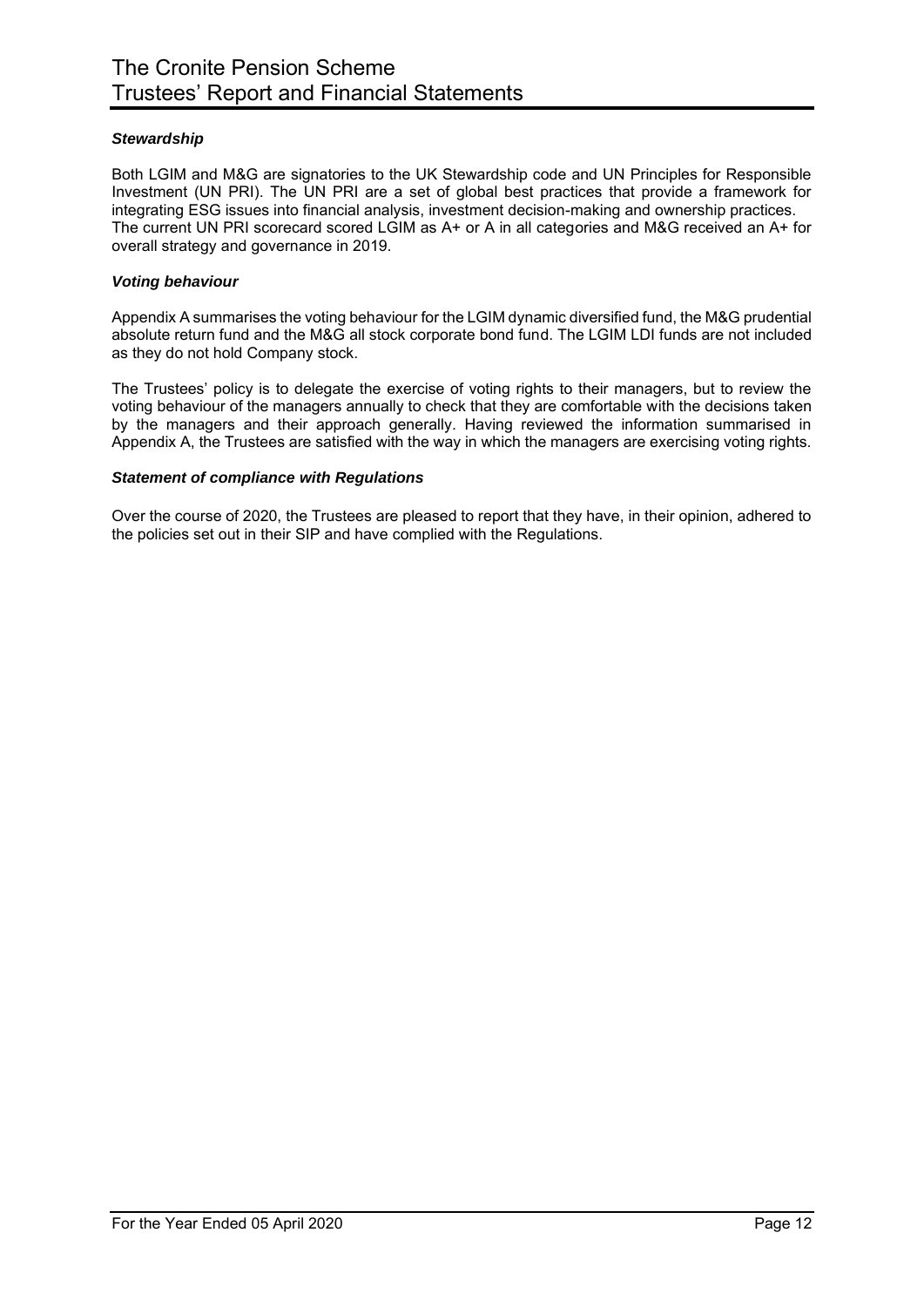## *Stewardship*

Both LGIM and M&G are signatories to the UK Stewardship code and UN Principles for Responsible Investment (UN PRI). The UN PRI are a set of global best practices that provide a framework for integrating ESG issues into financial analysis, investment decision-making and ownership practices. The current UN PRI scorecard scored LGIM as A+ or A in all categories and M&G received an A+ for overall strategy and governance in 2019.

## *Voting behaviour*

Appendix A summarises the voting behaviour for the LGIM dynamic diversified fund, the M&G prudential absolute return fund and the M&G all stock corporate bond fund. The LGIM LDI funds are not included as they do not hold Company stock.

The Trustees' policy is to delegate the exercise of voting rights to their managers, but to review the voting behaviour of the managers annually to check that they are comfortable with the decisions taken by the managers and their approach generally. Having reviewed the information summarised in Appendix A, the Trustees are satisfied with the way in which the managers are exercising voting rights.

## *Statement of compliance with Regulations*

Over the course of 2020, the Trustees are pleased to report that they have, in their opinion, adhered to the policies set out in their SIP and have complied with the Regulations.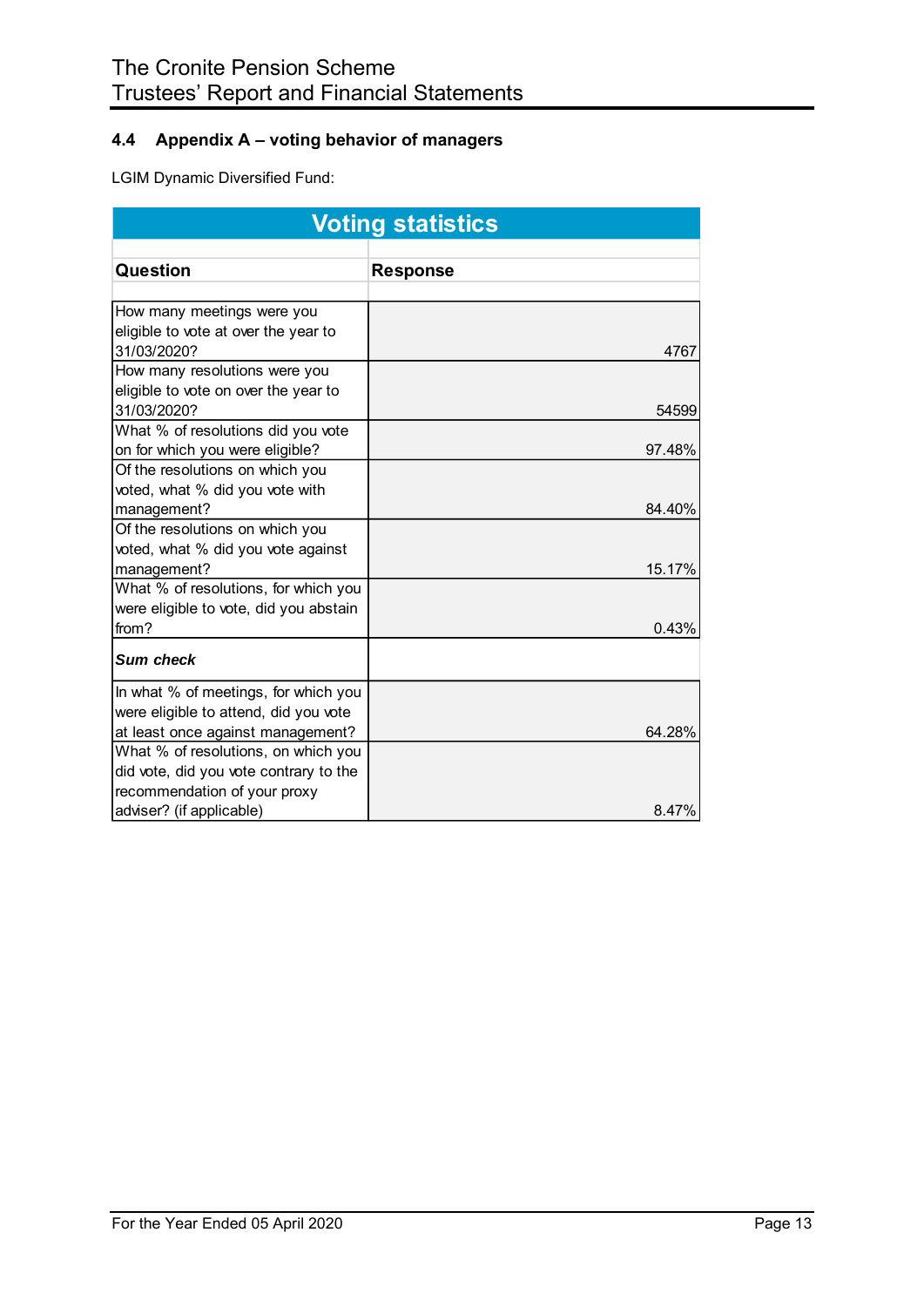## **4.4 Appendix A – voting behavior of managers**

LGIM Dynamic Diversified Fund:

| <b>Voting statistics</b>                            |                 |  |  |  |
|-----------------------------------------------------|-----------------|--|--|--|
|                                                     |                 |  |  |  |
| Question                                            | <b>Response</b> |  |  |  |
|                                                     |                 |  |  |  |
| How many meetings were you                          |                 |  |  |  |
| eligible to vote at over the year to                |                 |  |  |  |
| 31/03/2020?                                         | 4767            |  |  |  |
| How many resolutions were you                       |                 |  |  |  |
| eligible to vote on over the year to<br>31/03/2020? | 54599           |  |  |  |
| What % of resolutions did you vote                  |                 |  |  |  |
| on for which you were eligible?                     | 97.48%          |  |  |  |
| Of the resolutions on which you                     |                 |  |  |  |
| voted, what % did you vote with                     |                 |  |  |  |
| management?                                         | 84.40%          |  |  |  |
| Of the resolutions on which you                     |                 |  |  |  |
| voted, what % did you vote against                  |                 |  |  |  |
| management?                                         | 15.17%          |  |  |  |
| What % of resolutions, for which you                |                 |  |  |  |
| were eligible to vote, did you abstain              |                 |  |  |  |
| from?                                               | 0.43%           |  |  |  |
| Sum check                                           |                 |  |  |  |
| In what % of meetings, for which you                |                 |  |  |  |
| were eligible to attend, did you vote               |                 |  |  |  |
| at least once against management?                   | 64.28%          |  |  |  |
| What % of resolutions, on which you                 |                 |  |  |  |
| did vote, did you vote contrary to the              |                 |  |  |  |
| recommendation of your proxy                        |                 |  |  |  |
| adviser? (if applicable)                            | 8.47%           |  |  |  |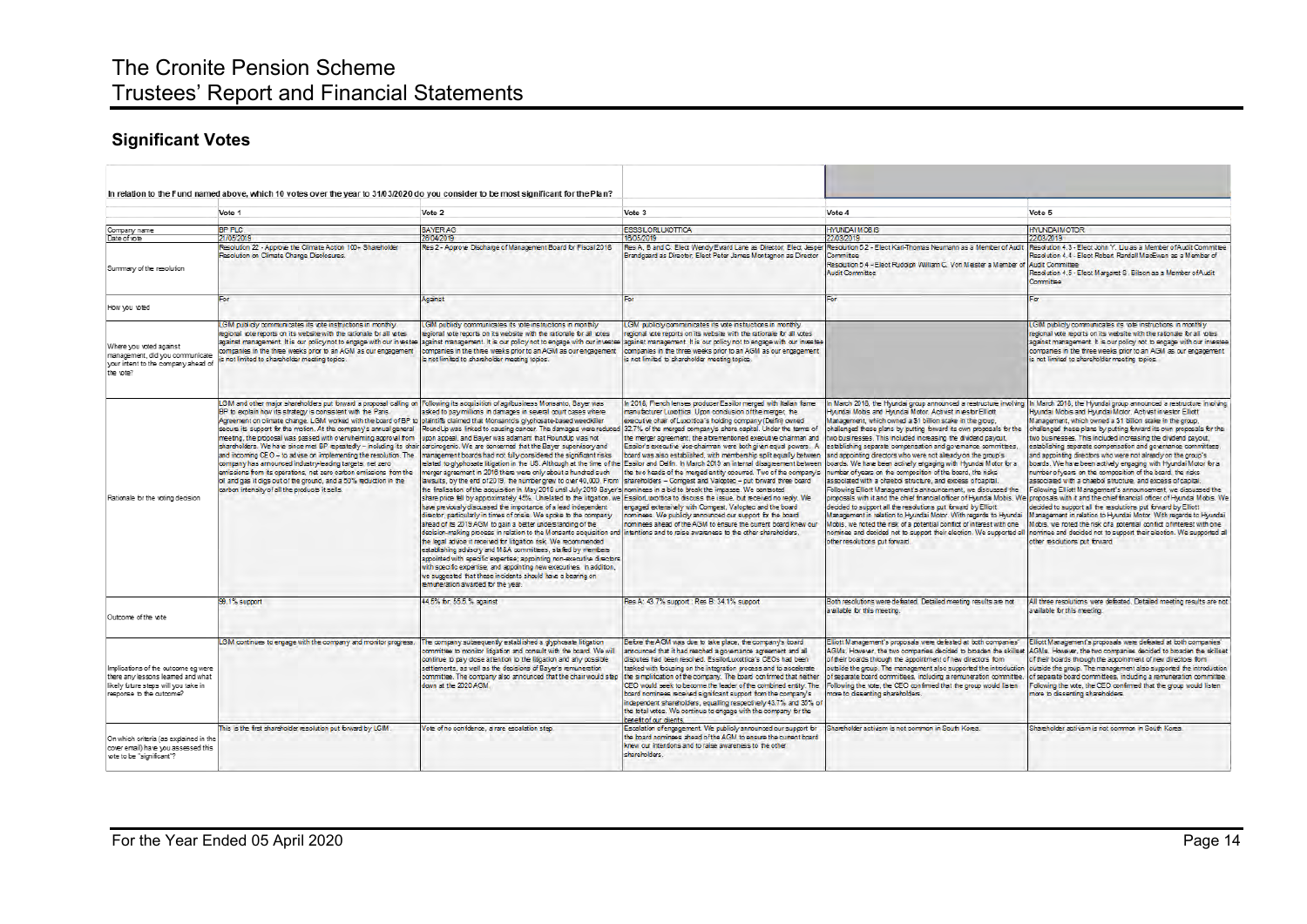# The Cronite Pension Scheme Trustees' Report and Financial Statements

# **Significant Votes**

|                                                                                                                                              | In relation to the Fund named above, which 10 votes over the vear to 31/03/2020 do vou consider to be most significant for the Plan?                                                                                                                                                                                                                                                                                                                                                                                                                                                                                                                                                                                                                                                                                                                                            |                                                                                                                                                                                                                                                                                                                                                                                                                                                                                                                                                                                                                                                                                                                                                                                                                                                                                                                                                                                                                                                                                                                                                                                                                                                                                                                                                                                                                                                                                                                                                                                                                                     |                                                                                                                                                                                                                                                                                                                                                                                                                                                                                                                                                                                                                                                                                                                                                                                                                  |                                                                                                                                                                                                                                                                                                                                                                                                                                                                                                                                                                                                                                                                                                                                                                                                                                                                                                                |                                                                                                                                                                                                                                                                                                                                                                                                                                                                                                                                                                                                                                                                                                                                                                                                                                                                                                                                                                                                                                                                                                                                                                                                                                                                                                                                                      |
|----------------------------------------------------------------------------------------------------------------------------------------------|---------------------------------------------------------------------------------------------------------------------------------------------------------------------------------------------------------------------------------------------------------------------------------------------------------------------------------------------------------------------------------------------------------------------------------------------------------------------------------------------------------------------------------------------------------------------------------------------------------------------------------------------------------------------------------------------------------------------------------------------------------------------------------------------------------------------------------------------------------------------------------|-------------------------------------------------------------------------------------------------------------------------------------------------------------------------------------------------------------------------------------------------------------------------------------------------------------------------------------------------------------------------------------------------------------------------------------------------------------------------------------------------------------------------------------------------------------------------------------------------------------------------------------------------------------------------------------------------------------------------------------------------------------------------------------------------------------------------------------------------------------------------------------------------------------------------------------------------------------------------------------------------------------------------------------------------------------------------------------------------------------------------------------------------------------------------------------------------------------------------------------------------------------------------------------------------------------------------------------------------------------------------------------------------------------------------------------------------------------------------------------------------------------------------------------------------------------------------------------------------------------------------------------|------------------------------------------------------------------------------------------------------------------------------------------------------------------------------------------------------------------------------------------------------------------------------------------------------------------------------------------------------------------------------------------------------------------------------------------------------------------------------------------------------------------------------------------------------------------------------------------------------------------------------------------------------------------------------------------------------------------------------------------------------------------------------------------------------------------|----------------------------------------------------------------------------------------------------------------------------------------------------------------------------------------------------------------------------------------------------------------------------------------------------------------------------------------------------------------------------------------------------------------------------------------------------------------------------------------------------------------------------------------------------------------------------------------------------------------------------------------------------------------------------------------------------------------------------------------------------------------------------------------------------------------------------------------------------------------------------------------------------------------|------------------------------------------------------------------------------------------------------------------------------------------------------------------------------------------------------------------------------------------------------------------------------------------------------------------------------------------------------------------------------------------------------------------------------------------------------------------------------------------------------------------------------------------------------------------------------------------------------------------------------------------------------------------------------------------------------------------------------------------------------------------------------------------------------------------------------------------------------------------------------------------------------------------------------------------------------------------------------------------------------------------------------------------------------------------------------------------------------------------------------------------------------------------------------------------------------------------------------------------------------------------------------------------------------------------------------------------------------|
|                                                                                                                                              | Vote 1                                                                                                                                                                                                                                                                                                                                                                                                                                                                                                                                                                                                                                                                                                                                                                                                                                                                          | Vote 2                                                                                                                                                                                                                                                                                                                                                                                                                                                                                                                                                                                                                                                                                                                                                                                                                                                                                                                                                                                                                                                                                                                                                                                                                                                                                                                                                                                                                                                                                                                                                                                                                              | Vote 3                                                                                                                                                                                                                                                                                                                                                                                                                                                                                                                                                                                                                                                                                                                                                                                                           | Vote 4                                                                                                                                                                                                                                                                                                                                                                                                                                                                                                                                                                                                                                                                                                                                                                                                                                                                                                         | Vote 5                                                                                                                                                                                                                                                                                                                                                                                                                                                                                                                                                                                                                                                                                                                                                                                                                                                                                                                                                                                                                                                                                                                                                                                                                                                                                                                                               |
|                                                                                                                                              | <b>RP PLC</b>                                                                                                                                                                                                                                                                                                                                                                                                                                                                                                                                                                                                                                                                                                                                                                                                                                                                   | <b>BAYER AG</b>                                                                                                                                                                                                                                                                                                                                                                                                                                                                                                                                                                                                                                                                                                                                                                                                                                                                                                                                                                                                                                                                                                                                                                                                                                                                                                                                                                                                                                                                                                                                                                                                                     | <b>ESSSILORLUXOTTICA</b>                                                                                                                                                                                                                                                                                                                                                                                                                                                                                                                                                                                                                                                                                                                                                                                         | <b>HYUNDATMOBIS</b>                                                                                                                                                                                                                                                                                                                                                                                                                                                                                                                                                                                                                                                                                                                                                                                                                                                                                            | <b>HYUNDAIMOTOR</b>                                                                                                                                                                                                                                                                                                                                                                                                                                                                                                                                                                                                                                                                                                                                                                                                                                                                                                                                                                                                                                                                                                                                                                                                                                                                                                                                  |
| Company name<br>Date of vote                                                                                                                 | 1/05/2019                                                                                                                                                                                                                                                                                                                                                                                                                                                                                                                                                                                                                                                                                                                                                                                                                                                                       | 28/04/2019                                                                                                                                                                                                                                                                                                                                                                                                                                                                                                                                                                                                                                                                                                                                                                                                                                                                                                                                                                                                                                                                                                                                                                                                                                                                                                                                                                                                                                                                                                                                                                                                                          | 16/05/2019                                                                                                                                                                                                                                                                                                                                                                                                                                                                                                                                                                                                                                                                                                                                                                                                       | 22/03/2019                                                                                                                                                                                                                                                                                                                                                                                                                                                                                                                                                                                                                                                                                                                                                                                                                                                                                                     | 22/03/2019                                                                                                                                                                                                                                                                                                                                                                                                                                                                                                                                                                                                                                                                                                                                                                                                                                                                                                                                                                                                                                                                                                                                                                                                                                                                                                                                           |
| Summary of the resolution                                                                                                                    | Resolution 22 - Approve the Climate Action 100+ Shareholder<br>Resolution on Climate Change Disclosures.                                                                                                                                                                                                                                                                                                                                                                                                                                                                                                                                                                                                                                                                                                                                                                        | Res 2 - Approve Discharge of Management Board for Fiscal 2018                                                                                                                                                                                                                                                                                                                                                                                                                                                                                                                                                                                                                                                                                                                                                                                                                                                                                                                                                                                                                                                                                                                                                                                                                                                                                                                                                                                                                                                                                                                                                                       | Brandgaard as Director; Elect Peter James Montagnon as Director                                                                                                                                                                                                                                                                                                                                                                                                                                                                                                                                                                                                                                                                                                                                                  | Committee<br>Resolution 5.4 - Elect Rudolph William C. Von Meister a Member of<br><b>Audit Committee</b>                                                                                                                                                                                                                                                                                                                                                                                                                                                                                                                                                                                                                                                                                                                                                                                                       | Res A, B and C: Elect Wendy Evard Lane as Director; Elect Jesper Resolution 5.2 - Elect Karl-Thomas Neumann as a Member of Audit Resolution 4.3 - Elect John Y. Liu as a Member of Audit Committee<br>lesolution 4.4 - Elect Robert Randall MacEwen as a Member of<br><b>Audit Committee</b><br>Resolution 4.5 - Elect Margaret S. Bilson as a Member of Audit<br>Committee                                                                                                                                                                                                                                                                                                                                                                                                                                                                                                                                                                                                                                                                                                                                                                                                                                                                                                                                                                          |
| How you yoted                                                                                                                                | For                                                                                                                                                                                                                                                                                                                                                                                                                                                                                                                                                                                                                                                                                                                                                                                                                                                                             | Against                                                                                                                                                                                                                                                                                                                                                                                                                                                                                                                                                                                                                                                                                                                                                                                                                                                                                                                                                                                                                                                                                                                                                                                                                                                                                                                                                                                                                                                                                                                                                                                                                             | For                                                                                                                                                                                                                                                                                                                                                                                                                                                                                                                                                                                                                                                                                                                                                                                                              | For                                                                                                                                                                                                                                                                                                                                                                                                                                                                                                                                                                                                                                                                                                                                                                                                                                                                                                            | For                                                                                                                                                                                                                                                                                                                                                                                                                                                                                                                                                                                                                                                                                                                                                                                                                                                                                                                                                                                                                                                                                                                                                                                                                                                                                                                                                  |
| Where you voted against<br>management, did you communicate<br>your intent to the company ahead of<br>the vote?                               | LGIM publicly communicates its vote instructions in monthly<br>regional vote reports on its website with the rationale for all votes<br>companies in the three weeks orior to an AGM as our engagement<br>s not limited to shareholder meeting topics.                                                                                                                                                                                                                                                                                                                                                                                                                                                                                                                                                                                                                          | LGIM oublidy communicates its vote instructions in monthly<br>regional vote reports on its website with the rationale for all votes<br>companies in the three weeks prior to an AGM as our engagement<br>is not limited to shareholder meeting topics.                                                                                                                                                                                                                                                                                                                                                                                                                                                                                                                                                                                                                                                                                                                                                                                                                                                                                                                                                                                                                                                                                                                                                                                                                                                                                                                                                                              | LGM publicly communicates its vote instructions in monthly<br>regional tote reports on its website with the rationale for all votes<br>against management. It is our policy not to engage with our investee lagainst management. It is our policy not to engage with our investee lagainst management. It is our policy not to engage with our investee<br>companies in the three weeks prior to an AGM as our engagement.<br>is not limited to shareholder meeting topics.                                                                                                                                                                                                                                                                                                                                      |                                                                                                                                                                                                                                                                                                                                                                                                                                                                                                                                                                                                                                                                                                                                                                                                                                                                                                                | LGIM publicly communicates its vote instructions in monthly<br>regional vote reports on its website with the rationale for all votes.<br>against management. It is our policy not to engage with our investee<br>companies in the three weeks prior to an AGM as our engagement<br>is not limited to shareholder meeting topics.                                                                                                                                                                                                                                                                                                                                                                                                                                                                                                                                                                                                                                                                                                                                                                                                                                                                                                                                                                                                                     |
| Rationale for the voting decision                                                                                                            | LGIM and other major shareholders put forward a proposal calling on Following its acquisition of agribusiness Monsanto, Bayer was<br>BP to explain how its strategy is consistent with the Paris.<br>Agreement on climate change. LGM worked with the board of BP to<br>secure its support for the motion. At the company's annual general<br>meeting, the proposal was passed with overwhelming approval from<br>shareholders. We have since met BP repeatedly - including its chair carcinogenic. We are concerned that the Bayer supervisory and<br>and incoming CEO - to advise on implementing the resolution. The<br>company has announced industry-leading targets: net zero<br>emissions from its operations, net zero carbon emissions from the<br>oil and gas it digs out of the ground, and a 50% reduction in the<br>carbon intensity of all the products it sells. | asked to pay millions in damages in several court cases where<br>plaintiffs claimed that Monsanto's glyphosate-based weedkiller<br>RoundUp was linked to causing cancer. The damages were reduced 32.7% of the merged company's share capital. Under the terms of<br>upon appeal, and Bayer was adamant that RoundUp was not<br>management boards had not fully considered the significant risks<br>related to glyphosate litigation in the US. Although at the time of the<br>merger agreement in 2016 there were only about a hundred such<br>lawsuits, by the end of 2019, the number grew to over 40,000. From<br>the finalisation of the acquisition in May 2018 until July 2019 Bayer's nominees in a bid to break the impasse. We contacted<br>share orice fell by approximately 45%. Unrelated to the litigation, we EssilorLuxottica to discuss the issue, but received no reply. We<br>have previously discussed the importance of a lead independent<br>director, particularly in times of crisis. We spoke to the company<br>ahead of its 2019 AGM to gain a better understanding of the<br>decision-making process in relation to the Monsanto acquisition and (intentions and to raise awareness to the other shareholders,<br>the legal advice it received for litigation risk. We recommended<br>establishing advisory and M&A committees, staffed by members<br>appointed with specific expertise; appointing non-executive directors.<br>with specific expertise; and appointing new executives. In addition,<br>we succested that these incidents should have a bearing on<br>remuneration awarded for the year. | In 2018, French lenses producer Essilor merged with Italian fame<br>manufacturer Luxottica. Upon condusion of the merger, the<br>executive chair of Luxottica's holding company (Delfin) owned<br>the merger agreement, the aftrementioned executive chairman and<br>Essilor's executive vice-chairman were both given equal powers. A<br>board was also established, with membership split equally between<br>Essilor and Delfn. In March 2019 an internal disagreement between<br>the two heads of the memed entity occurred. Two of the company's<br>shareholders - Compest and Valoptec - put forward three board<br>engaged extensively with Compest. Valopted and the board<br>nominees. We publicly announced our support for the board<br>nominees ahead of the AGM to ensure the current board knew our | Hyundai Mobis and Hyundai Motor. Activist investor Elliott<br>Management, which owned a \$1 billion stake in the group.<br>two businesses. This included increasing the dividend payout.<br>stablishing separate compensation and governance committees.<br>and appointing directors who were not already on the group's<br>boards. We have been actively engaging with Hyundai Motor for a<br>umber of years on the composition of the board, the risks<br>associated with a chaebol structure, and excess of capital.<br>Following Elliott Management's announcement, we discussed the<br>decided to support all the resolutions out foward by Elliott<br>Management in relation to Hyundai Motor. With regards to Hyundai<br>Mobis, we noted the risk of a potential conflict of interest with one<br>nominee and decided not to support their election. We supported all<br>other resolutions out forward. | In March 2018, the Hyundai group announced a restructure involving In March 2018, the Hyundai group announced a restructure involving<br>Hyundai Mobis and Hyundai Motor. Activist investor Elliott<br>Management, which owned a \$1 billion stake in the group.<br>challenged these plans by putting forward its own proposals for the challenged these plans by putting forward its own proposals for the<br>two businesses. This included increasing the dividend payout.<br>establishing separate compensation and governance committees.<br>and appointing directors who were not already on the group's<br>boards. We have been actively engaging with Hyundai Motor for a<br>umber of years on the composition of the board, the risks<br>associated with a chaebol structure, and excess of capital.<br>Following Elliott Management's announcement, we discussed the<br>proposals with it and the chief financial officer of Hyundai Mobis. We loroposals with it and the chief financial officer of Hyundai Mobis. We<br>decided to support all the resolutions put forward by Elliott<br>Management in relation to Hyundai Motor. With regards to Hyundai<br>Mobis, we noted the risk of a potential confict of interest with one<br>nominee and decided not to support their election. We supported all<br>ther resolutions out forward. |
| Outcome of the vote                                                                                                                          | 99.1% support                                                                                                                                                                                                                                                                                                                                                                                                                                                                                                                                                                                                                                                                                                                                                                                                                                                                   | 44.5% for: 55.5.% against                                                                                                                                                                                                                                                                                                                                                                                                                                                                                                                                                                                                                                                                                                                                                                                                                                                                                                                                                                                                                                                                                                                                                                                                                                                                                                                                                                                                                                                                                                                                                                                                           | Res A: 43.7% support; Res B: 34.1% support                                                                                                                                                                                                                                                                                                                                                                                                                                                                                                                                                                                                                                                                                                                                                                       | Both resolutions were defeated. Detailed meeting results are not<br>a silable for this meeting.                                                                                                                                                                                                                                                                                                                                                                                                                                                                                                                                                                                                                                                                                                                                                                                                                | All three resolutions were defeated. Detailed meeting results are not<br>available for this meeting.                                                                                                                                                                                                                                                                                                                                                                                                                                                                                                                                                                                                                                                                                                                                                                                                                                                                                                                                                                                                                                                                                                                                                                                                                                                 |
| Implications of the outcome eg were<br>there any lessons leamed and what<br>likely future steps will you take in<br>response to the outcome? | LGIM continues to engage with the company and monitor progress.                                                                                                                                                                                                                                                                                                                                                                                                                                                                                                                                                                                                                                                                                                                                                                                                                 | The company subsequently established a glyphosate litigation<br>committee to monitor litigation and consult with the board. We will<br>continue to pay close attention to the litigation and any possible<br>settlements, as well as the decisions of Baver's remuneration<br>down at the 2020 AGM.                                                                                                                                                                                                                                                                                                                                                                                                                                                                                                                                                                                                                                                                                                                                                                                                                                                                                                                                                                                                                                                                                                                                                                                                                                                                                                                                 | Before the AGM was due to take place, the company's board<br>announced that it had reached a governance agreement and all<br>disoutes had been resolved. Essilon uxottica's CEOs had been<br>tasked with focusing on the integration process and to accelerate<br>committee. The company also announced that the chair would step the simplification of the company. The board confirmed that neither<br>CEO would seek to become the leader of the combined entity. The<br>board nominees received significant support from the company's<br>independent shareholders, equalling respectively 43.7% and 35% of<br>the total votes. We continue to engage with the company for the<br>benefit of our dients.                                                                                                     | Elliott Management's proposals were defeated at both companies'<br>AGMs. However, the two companies decided to broaden the skillset<br>of their boards through the appointment of new directors from<br>of separate board committees, including a remuneration committee.<br>Following the vote, the CEO confirmed that the group would listen<br>nore to dissenting shareholders.                                                                                                                                                                                                                                                                                                                                                                                                                                                                                                                             | Elliott Management's proposals were defeated at both companies'<br>AGMs. However, the two companies decided to broaden the skillser<br>of their boards through the appointment of new directors from<br>outside the group. The management also supported the introduction loutside the group. The management also supported the introduction<br>of separate board committees, including a remuneration committee.<br>Following the vote, the CEO confirmed that the group would listen<br>nore to dissenting shareholders.                                                                                                                                                                                                                                                                                                                                                                                                                                                                                                                                                                                                                                                                                                                                                                                                                           |
| On which criteria (as explained in the<br>cover email) have you assessed this<br>vote to be "significant"?                                   | This is the first shareholder resolution put forward by LGM                                                                                                                                                                                                                                                                                                                                                                                                                                                                                                                                                                                                                                                                                                                                                                                                                     | Vote of no confidence, a rare escalation step                                                                                                                                                                                                                                                                                                                                                                                                                                                                                                                                                                                                                                                                                                                                                                                                                                                                                                                                                                                                                                                                                                                                                                                                                                                                                                                                                                                                                                                                                                                                                                                       | Escalation of engagement. We publicly announced our support for<br>the board nominees ahead of the AGM to ensure the current board<br>knew our intentions and to raise awareness to the other<br>shareholders.                                                                                                                                                                                                                                                                                                                                                                                                                                                                                                                                                                                                   | Shareholder activism is not common in South Korea.                                                                                                                                                                                                                                                                                                                                                                                                                                                                                                                                                                                                                                                                                                                                                                                                                                                             | Shareholder activism is not common in South Korea.                                                                                                                                                                                                                                                                                                                                                                                                                                                                                                                                                                                                                                                                                                                                                                                                                                                                                                                                                                                                                                                                                                                                                                                                                                                                                                   |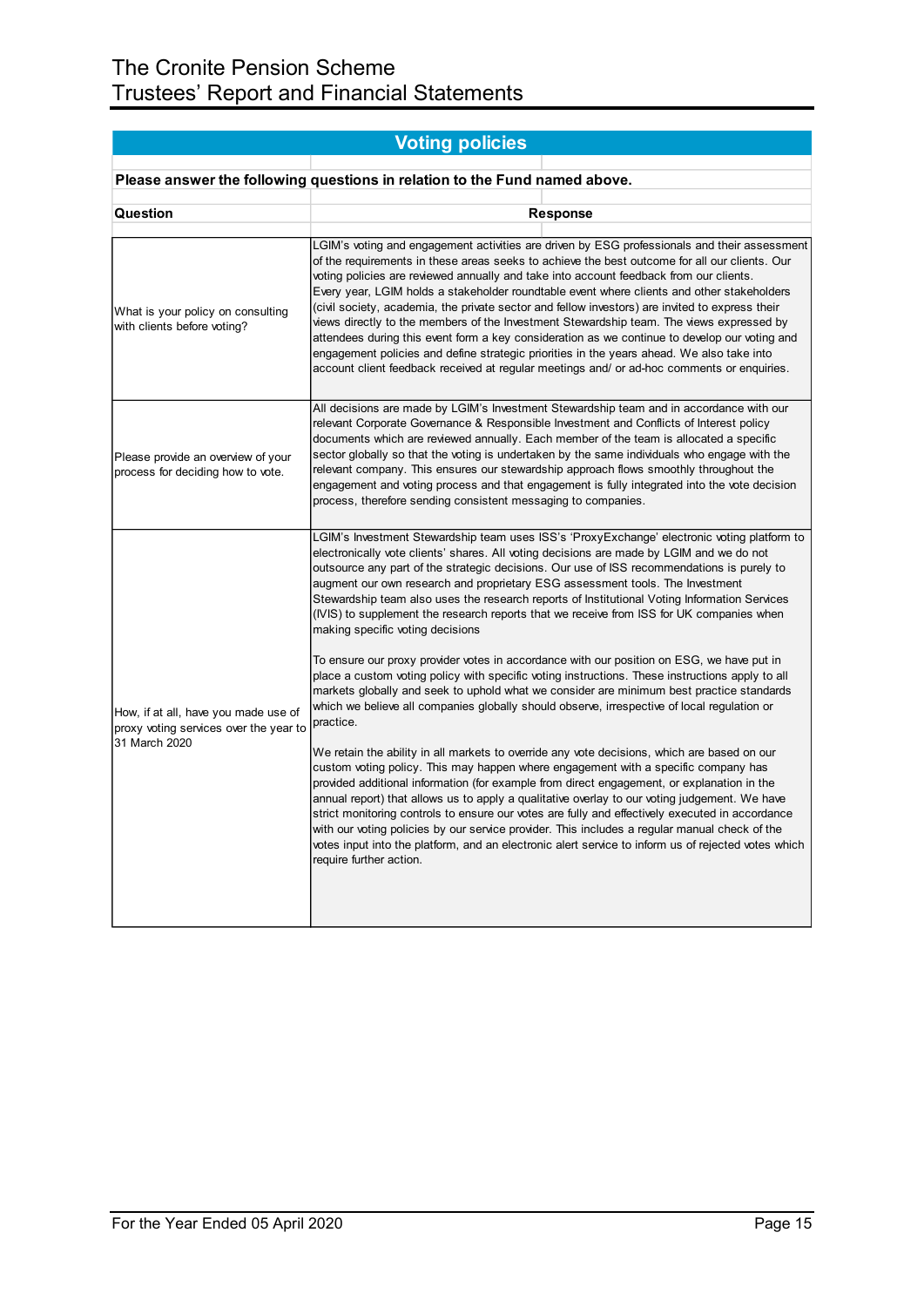|                                                                                | <b>Voting policies</b>                                                                                                                                                                                                                                                                                                                                                                               |                                                                                                                                                                                                                                                                                                                                                                                                                                                                                                                                                                                                                                                                                                                                                                                        |  |  |  |  |
|--------------------------------------------------------------------------------|------------------------------------------------------------------------------------------------------------------------------------------------------------------------------------------------------------------------------------------------------------------------------------------------------------------------------------------------------------------------------------------------------|----------------------------------------------------------------------------------------------------------------------------------------------------------------------------------------------------------------------------------------------------------------------------------------------------------------------------------------------------------------------------------------------------------------------------------------------------------------------------------------------------------------------------------------------------------------------------------------------------------------------------------------------------------------------------------------------------------------------------------------------------------------------------------------|--|--|--|--|
|                                                                                | Please answer the following questions in relation to the Fund named above.                                                                                                                                                                                                                                                                                                                           |                                                                                                                                                                                                                                                                                                                                                                                                                                                                                                                                                                                                                                                                                                                                                                                        |  |  |  |  |
|                                                                                |                                                                                                                                                                                                                                                                                                                                                                                                      |                                                                                                                                                                                                                                                                                                                                                                                                                                                                                                                                                                                                                                                                                                                                                                                        |  |  |  |  |
| Question                                                                       |                                                                                                                                                                                                                                                                                                                                                                                                      | <b>Response</b>                                                                                                                                                                                                                                                                                                                                                                                                                                                                                                                                                                                                                                                                                                                                                                        |  |  |  |  |
| What is your policy on consulting<br>with clients before voting?               | voting policies are reviewed annually and take into account feedback from our clients.                                                                                                                                                                                                                                                                                                               | LGIM's voting and engagement activities are driven by ESG professionals and their assessment<br>of the requirements in these areas seeks to achieve the best outcome for all our clients. Our<br>Every year, LGIM holds a stakeholder roundtable event where clients and other stakeholders<br>(civil society, academia, the private sector and fellow investors) are invited to express their<br>views directly to the members of the Investment Stewardship team. The views expressed by<br>attendees during this event form a key consideration as we continue to develop our voting and<br>engagement policies and define strategic priorities in the years ahead. We also take into<br>account client feedback received at regular meetings and/ or ad-hoc comments or enquiries. |  |  |  |  |
| Please provide an overview of your<br>process for deciding how to vote.        | process, therefore sending consistent messaging to companies.                                                                                                                                                                                                                                                                                                                                        | All decisions are made by LGIM's Investment Stewardship team and in accordance with our<br>relevant Corporate Governance & Responsible Investment and Conflicts of Interest policy<br>documents which are reviewed annually. Each member of the team is allocated a specific<br>sector globally so that the voting is undertaken by the same individuals who engage with the<br>relevant company. This ensures our stewardship approach flows smoothly throughout the<br>engagement and voting process and that engagement is fully integrated into the vote decision                                                                                                                                                                                                                  |  |  |  |  |
|                                                                                | electronically vote clients' shares. All voting decisions are made by LGIM and we do not<br>augment our own research and proprietary ESG assessment tools. The Investment<br>making specific voting decisions                                                                                                                                                                                        | LGIM's Investment Stewardship team uses ISS's 'ProxyExchange' electronic voting platform to<br>outsource any part of the strategic decisions. Our use of ISS recommendations is purely to<br>Stewardship team also uses the research reports of Institutional Voting Information Services<br>(IVIS) to supplement the research reports that we receive from ISS for UK companies when                                                                                                                                                                                                                                                                                                                                                                                                  |  |  |  |  |
| How, if at all, have you made use of<br>proxy voting services over the year to | To ensure our proxy provider votes in accordance with our position on ESG, we have put in<br>place a custom voting policy with specific voting instructions. These instructions apply to all<br>markets globally and seek to uphold what we consider are minimum best practice standards<br>which we believe all companies globally should observe, irrespective of local regulation or<br>practice. |                                                                                                                                                                                                                                                                                                                                                                                                                                                                                                                                                                                                                                                                                                                                                                                        |  |  |  |  |
| 31 March 2020                                                                  | custom voting policy. This may happen where engagement with a specific company has<br>require further action.                                                                                                                                                                                                                                                                                        | We retain the ability in all markets to override any vote decisions, which are based on our<br>provided additional information (for example from direct engagement, or explanation in the<br>annual report) that allows us to apply a qualitative overlay to our voting judgement. We have<br>strict monitoring controls to ensure our votes are fully and effectively executed in accordance<br>with our voting policies by our service provider. This includes a regular manual check of the<br>votes input into the platform, and an electronic alert service to inform us of rejected votes which                                                                                                                                                                                  |  |  |  |  |
|                                                                                |                                                                                                                                                                                                                                                                                                                                                                                                      |                                                                                                                                                                                                                                                                                                                                                                                                                                                                                                                                                                                                                                                                                                                                                                                        |  |  |  |  |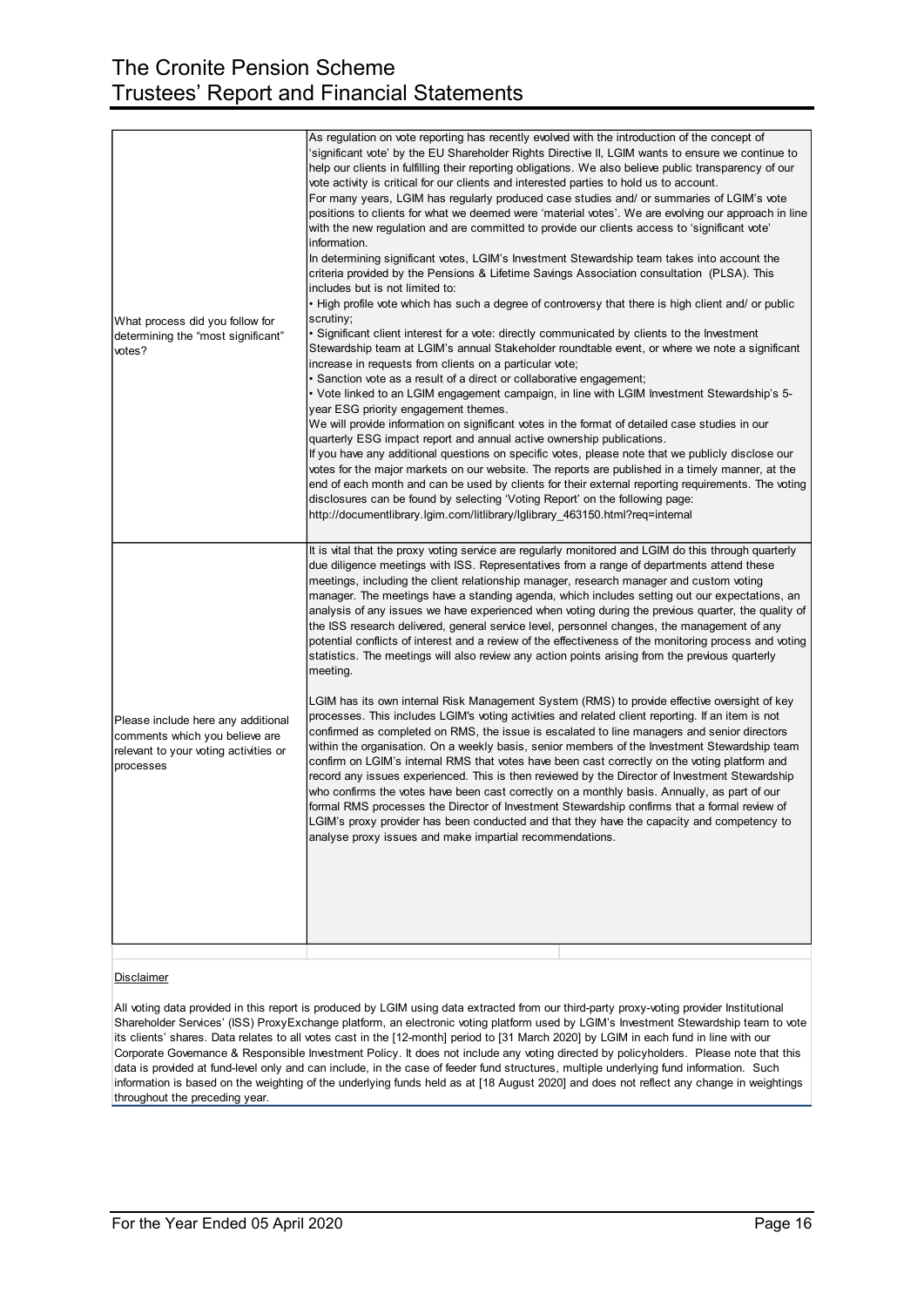| What process did you follow for<br>determining the "most significant"<br>votes?                                            | As regulation on vote reporting has recently evolved with the introduction of the concept of<br>'significant vote' by the EU Shareholder Rights Directive II, LGIM wants to ensure we continue to<br>help our clients in fulfilling their reporting obligations. We also believe public transparency of our<br>vote activity is critical for our clients and interested parties to hold us to account.<br>For many years, LGIM has regularly produced case studies and/ or summaries of LGIM's vote<br>positions to clients for what we deemed were 'material votes'. We are evolving our approach in line<br>with the new regulation and are committed to provide our clients access to 'significant vote'<br>information.<br>In determining significant votes, LGIM's Investment Stewardship team takes into account the<br>criteria provided by the Pensions & Lifetime Savings Association consultation (PLSA). This<br>includes but is not limited to:<br>• High profile vote which has such a degree of controversy that there is high client and/ or public<br>scrutiny;<br>• Significant client interest for a vote: directly communicated by clients to the Investment<br>Stewardship team at LGIM's annual Stakeholder roundtable event, or where we note a significant<br>increase in requests from clients on a particular vote;<br>• Sanction vote as a result of a direct or collaborative engagement;<br>• Vote linked to an LGIM engagement campaign, in line with LGIM Investment Stewardship's 5-<br>year ESG priority engagement themes.<br>We will provide information on significant votes in the format of detailed case studies in our<br>quarterly ESG impact report and annual active ownership publications.<br>If you have any additional questions on specific votes, please note that we publicly disclose our<br>votes for the major markets on our website. The reports are published in a timely manner, at the<br>end of each month and can be used by clients for their external reporting requirements. The voting<br>disclosures can be found by selecting 'Voting Report' on the following page:<br>http://documentlibrary.lgim.com/litlibrary/lglibrary_463150.html?req=internal |
|----------------------------------------------------------------------------------------------------------------------------|------------------------------------------------------------------------------------------------------------------------------------------------------------------------------------------------------------------------------------------------------------------------------------------------------------------------------------------------------------------------------------------------------------------------------------------------------------------------------------------------------------------------------------------------------------------------------------------------------------------------------------------------------------------------------------------------------------------------------------------------------------------------------------------------------------------------------------------------------------------------------------------------------------------------------------------------------------------------------------------------------------------------------------------------------------------------------------------------------------------------------------------------------------------------------------------------------------------------------------------------------------------------------------------------------------------------------------------------------------------------------------------------------------------------------------------------------------------------------------------------------------------------------------------------------------------------------------------------------------------------------------------------------------------------------------------------------------------------------------------------------------------------------------------------------------------------------------------------------------------------------------------------------------------------------------------------------------------------------------------------------------------------------------------------------------------------------------------------------------------------------------------------------------------------------------------------------------------------|
| Please include here any additional<br>comments which you believe are<br>relevant to your voting activities or<br>processes | It is vital that the proxy voting service are regularly monitored and LGIM do this through quarterly<br>due diligence meetings with ISS. Representatives from a range of departments attend these<br>meetings, including the client relationship manager, research manager and custom voting<br>manager. The meetings have a standing agenda, which includes setting out our expectations, an<br>analysis of any issues we have experienced when voting during the previous quarter, the quality of<br>the ISS research delivered, general service level, personnel changes, the management of any<br>potential conflicts of interest and a review of the effectiveness of the monitoring process and voting<br>statistics. The meetings will also review any action points arising from the previous quarterly<br>meeting.<br>LGIM has its own internal Risk Management System (RMS) to provide effective oversight of key<br>processes. This includes LGIM's voting activities and related client reporting. If an item is not<br>confirmed as completed on RMS, the issue is escalated to line managers and senior directors<br>within the organisation. On a weekly basis, senior members of the Investment Stewardship team<br>confirm on LGIM's internal RMS that votes have been cast correctly on the voting platform and<br>record any issues experienced. This is then reviewed by the Director of Investment Stewardship<br>who confirms the votes have been cast correctly on a monthly basis. Annually, as part of our<br>formal RMS processes the Director of Investment Stewardship confirms that a formal review of<br>LGIM's proxy provider has been conducted and that they have the capacity and competency to<br>analyse proxy issues and make impartial recommendations.                                                                                                                                                                                                                                                                                                                                                                                                                          |

### **Disclaimer**

All voting data provided in this report is produced by LGIM using data extracted from our third-party proxy-voting provider Institutional Shareholder Services' (ISS) ProxyExchange platform, an electronic voting platform used by LGIM's Investment Stewardship team to vote its clients' shares. Data relates to all votes cast in the [12-month] period to [31 March 2020] by LGIM in each fund in line with our Corporate Governance & Responsible Investment Policy. It does not include any voting directed by policyholders. Please note that this data is provided at fund-level only and can include, in the case of feeder fund structures, multiple underlying fund information. Such information is based on the weighting of the underlying funds held as at [18 August 2020] and does not reflect any change in weightings throughout the preceding year.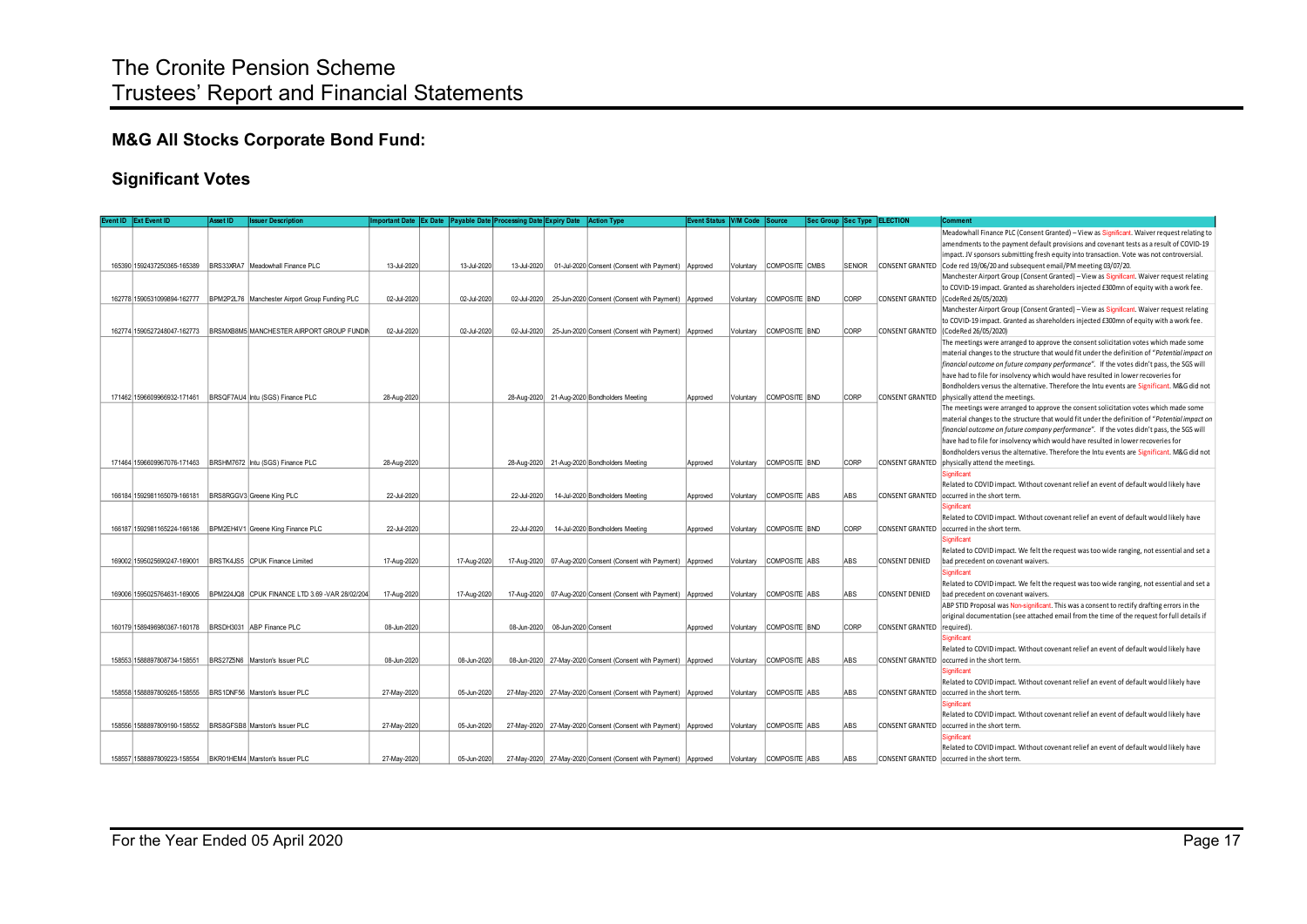# **M&G All Stocks Corporate Bond Fund:**

## **Significant Votes**

|  | Event ID   Ext Event ID                                    | <b>Asset ID</b> | ssuer Description                                                          | Important Date Ex Date Payable Date Processing Date Expiry Date Action Type |             |             |                     |                                                                     | Event Status   V/M Code   Source |           |                         | Sec Group Sec Type ELECTION |                        | Comment                                                                                       |
|--|------------------------------------------------------------|-----------------|----------------------------------------------------------------------------|-----------------------------------------------------------------------------|-------------|-------------|---------------------|---------------------------------------------------------------------|----------------------------------|-----------|-------------------------|-----------------------------|------------------------|-----------------------------------------------------------------------------------------------|
|  |                                                            |                 |                                                                            |                                                                             |             |             |                     |                                                                     |                                  |           |                         |                             |                        | Meadowhall Finance PLC (Consent Granted) - View as Significant. Waiver request relating to    |
|  |                                                            |                 |                                                                            |                                                                             |             |             |                     |                                                                     |                                  |           |                         |                             |                        | amendments to the payment default provisions and covenant tests as a result of COVID-19       |
|  |                                                            |                 |                                                                            |                                                                             |             |             |                     |                                                                     |                                  |           |                         |                             |                        | impact. JV sponsors submitting fresh equity into transaction. Vote was not controversial.     |
|  |                                                            |                 |                                                                            | 13-Jul-2020                                                                 | 13-Jul-2020 | 13-Jul-2020 |                     | 01-Jul-2020 Consent (Consent with Payment) Approved                 |                                  | Voluntary | COMPOSITE CMBS          |                             | SENIOR CONSENT GRANTED | Code red 19/06/20 and subsequent email/PM meeting 03/07/20.                                   |
|  |                                                            |                 |                                                                            |                                                                             |             |             |                     |                                                                     |                                  |           |                         |                             |                        | Manchester Airport Group (Consent Granted) - View as Significant. Waiver request relating     |
|  |                                                            |                 |                                                                            |                                                                             |             |             |                     |                                                                     |                                  |           |                         |                             |                        | to COVID-19 impact. Granted as shareholders injected £300mn of equity with a work fee.        |
|  |                                                            |                 | 162778 1590531099894-162777 BPM2P2L76 Manchester Airport Group Funding PLC | 02-Jul-2020                                                                 | 02-Jul-2020 |             |                     | 02-Jul-2020 25-Jun-2020 Consent (Consent with Payment) Approved     |                                  | Voluntary | COMPOSITE BND           | <b>CORP</b>                 | <b>CONSENT GRANTED</b> | (CodeRed 26/05/2020)                                                                          |
|  |                                                            |                 |                                                                            |                                                                             |             |             |                     |                                                                     |                                  |           |                         |                             |                        | Manchester Airport Group (Consent Granted) - View as Significant. Waiver request relating     |
|  |                                                            |                 |                                                                            |                                                                             |             |             |                     |                                                                     |                                  |           |                         |                             |                        | to COVID-19 impact. Granted as shareholders injected £300mn of equity with a work fee.        |
|  |                                                            |                 | 162774 1590527248047-162773 BRSMXB8M5 MANCHESTER AIRPORT GROUP FUNDIN      | 02-Jul-2020                                                                 | 02-Jul-2020 | 02-Jul-2020 |                     | 25-Jun-2020 Consent (Consent with Payment) Approved                 |                                  | Voluntary | COMPOSITE BND           | CORP                        | <b>CONSENT GRANTED</b> | (CodeRed 26/05/2020)                                                                          |
|  |                                                            |                 |                                                                            |                                                                             |             |             |                     |                                                                     |                                  |           |                         |                             |                        | The meetings were arranged to approve the consent solicitation votes which made some          |
|  |                                                            |                 |                                                                            |                                                                             |             |             |                     |                                                                     |                                  |           |                         |                             |                        | material changes to the structure that would fit under the definition of "Potential impact on |
|  |                                                            |                 |                                                                            |                                                                             |             |             |                     |                                                                     |                                  |           |                         |                             |                        | financial outcome on future company performance". If the votes didn't pass, the SGS will      |
|  |                                                            |                 |                                                                            |                                                                             |             |             |                     |                                                                     |                                  |           |                         |                             |                        | have had to file for insolvency which would have resulted in lower recoveries for             |
|  |                                                            |                 |                                                                            |                                                                             |             |             |                     |                                                                     |                                  |           |                         |                             |                        | Bondholders versus the alternative. Therefore the Intu events are Significant. M&G did not    |
|  |                                                            |                 | 171462 1596609966932-171461  BRSQF7AU4   Intu (SGS) Finance PLC            | 28-Aug-2020                                                                 |             |             |                     | 28-Aug-2020 21-Aug-2020 Bondholders Meeting                         | Approved                         | Voluntary | COMPOSITE BND           | <b>CORP</b>                 |                        | CONSENT GRANTED physically attend the meetings.                                               |
|  |                                                            |                 |                                                                            |                                                                             |             |             |                     |                                                                     |                                  |           |                         |                             |                        | The meetings were arranged to approve the consent solicitation votes which made some          |
|  |                                                            |                 |                                                                            |                                                                             |             |             |                     |                                                                     |                                  |           |                         |                             |                        | material changes to the structure that would fit under the definition of "Potential impact on |
|  |                                                            |                 |                                                                            |                                                                             |             |             |                     |                                                                     |                                  |           |                         |                             |                        | financial outcome on future company performance". If the votes didn't pass, the SGS will      |
|  |                                                            |                 |                                                                            |                                                                             |             |             |                     |                                                                     |                                  |           |                         |                             |                        | have had to file for insolvency which would have resulted in lower recoveries for             |
|  |                                                            |                 |                                                                            |                                                                             |             |             |                     |                                                                     |                                  |           |                         |                             |                        | Bondholders versus the alternative. Therefore the Intu events are Significant. M&G did not    |
|  |                                                            |                 |                                                                            | 28-Aug-2020                                                                 |             |             |                     | 28-Aug-2020 21-Aug-2020 Bondholders Meeting                         | Approved                         | Voluntary | COMPOSITE BND           | <b>CORP</b>                 | <b>CONSENT GRANTED</b> | physically attend the meetings.                                                               |
|  |                                                            |                 |                                                                            |                                                                             |             |             |                     |                                                                     |                                  |           |                         |                             |                        | Significant                                                                                   |
|  |                                                            |                 |                                                                            |                                                                             |             |             |                     |                                                                     |                                  |           |                         |                             |                        | Related to COVID impact. Without covenant relief an event of default would likely have        |
|  | 166184 1592981165079-166181 BRS8RGGV3 Greene King PLC      |                 |                                                                            | 22-Jul-2020                                                                 |             | 22-Jul-2020 |                     | 14-Jul-2020 Bondholders Meeting                                     | Approved                         | Voluntary | COMPOSITE ABS           | ABS                         | <b>CONSENT GRANTED</b> | occurred in the short term.                                                                   |
|  |                                                            |                 |                                                                            |                                                                             |             |             |                     |                                                                     |                                  |           |                         |                             |                        | Significant                                                                                   |
|  |                                                            |                 |                                                                            |                                                                             |             |             |                     |                                                                     |                                  |           |                         |                             |                        | Related to COVID impact. Without covenant relief an event of default would likely have        |
|  |                                                            |                 | 166187 1592981165224-166186  BPM2EH4V1 Greene King Finance PLC             | 22-Jul-2020                                                                 |             | 22-Jul-2020 |                     | 14-Jul-2020 Bondholders Meeting                                     | Approved                         | Voluntary | COMPOSITE BND           | CORP                        |                        | CONSENT GRANTED   occurred in the short term.                                                 |
|  |                                                            |                 |                                                                            |                                                                             |             |             |                     |                                                                     |                                  |           |                         |                             |                        | <b>Significant</b>                                                                            |
|  |                                                            |                 |                                                                            |                                                                             |             |             |                     |                                                                     |                                  |           |                         |                             |                        | Related to COVID impact. We felt the request was too wide ranging, not essential and set a    |
|  | 169002 1595025690247-169001 BRSTK4JS5 CPUK Finance Limited |                 |                                                                            | 17-Aug-2020                                                                 | 17-Aug-2020 |             |                     | 17-Aug-2020   07-Aug-2020 Consent (Consent with Payment)   Approved |                                  | Voluntarv | COMPOSITE ABS           | ABS                         | <b>CONSENT DENIED</b>  | bad precedent on covenant waivers.                                                            |
|  |                                                            |                 |                                                                            |                                                                             |             |             |                     |                                                                     |                                  |           |                         |                             |                        | Significant                                                                                   |
|  |                                                            |                 |                                                                            |                                                                             |             |             |                     |                                                                     |                                  |           |                         |                             |                        | Related to COVID impact. We felt the request was too wide ranging, not essential and set a    |
|  |                                                            |                 | 169006 1595025764631-169005 BPM224JQ8 CPUK FINANCE LTD 3.69 -VAR 28/02/204 | 17-Aug-2020                                                                 | 17-Aug-2020 | 17-Aug-2020 |                     | 07-Aug-2020 Consent (Consent with Payment) Approved                 |                                  | Voluntary | COMPOSITE ABS           | ABS                         | CONSENT DENIED         | bad precedent on covenant waivers.                                                            |
|  |                                                            |                 |                                                                            |                                                                             |             |             |                     |                                                                     |                                  |           |                         |                             |                        | ABP STID Proposal was Non-significant. This was a consent to rectify drafting errors in the   |
|  |                                                            |                 |                                                                            |                                                                             |             |             |                     |                                                                     |                                  |           |                         |                             |                        | original documentation (see attached email from the time of the request for full details if   |
|  | 160179 1589496980367-160178  BRSDH3031 ABP Finance PLC     |                 |                                                                            | 08-Jun-2020                                                                 |             | 08-Jun-2020 | 08-Jun-2020 Consent |                                                                     | Approved                         | Voluntary | COMPOSITE BND           | <b>CORP</b>                 | <b>CONSENT GRANTED</b> | required)                                                                                     |
|  |                                                            |                 |                                                                            |                                                                             |             |             |                     |                                                                     |                                  |           |                         |                             |                        | Significant                                                                                   |
|  |                                                            |                 |                                                                            |                                                                             |             |             |                     |                                                                     |                                  |           |                         |                             |                        | Related to COVID impact. Without covenant relief an event of default would likely have        |
|  | 158553 1588897808734-158551                                |                 | BRS27Z5N6 Marston's Issuer PLC                                             | 08-Jun-2020                                                                 | 08-Jun-2020 |             |                     | 08-Jun-2020 27-May-2020 Consent (Consent with Payment) Approved     |                                  | Voluntary | COMPOSITE ABS           | ABS                         | <b>CONSENT GRANTED</b> | occurred in the short term.                                                                   |
|  |                                                            |                 |                                                                            |                                                                             |             |             |                     |                                                                     |                                  |           |                         |                             |                        | Significant                                                                                   |
|  |                                                            |                 |                                                                            |                                                                             |             |             |                     |                                                                     |                                  |           |                         |                             |                        | Related to COVID impact. Without covenant relief an event of default would likely have        |
|  | 158558 1588897809265-158555                                |                 | BRS1DNF56 Marston's Issuer PLC                                             | 27-May-2020                                                                 | 05-Jun-2020 |             |                     | 27-May-2020 27-May-2020 Consent (Consent with Payment) Approved     |                                  | Voluntary | COMPOSITE ABS           | ABS                         | <b>CONSENT GRANTED</b> | occurred in the short term.                                                                   |
|  |                                                            |                 |                                                                            |                                                                             |             |             |                     |                                                                     |                                  |           |                         |                             |                        | <b>Significant</b>                                                                            |
|  |                                                            |                 |                                                                            |                                                                             |             |             |                     |                                                                     |                                  |           |                         |                             |                        | Related to COVID impact. Without covenant relief an event of default would likely have        |
|  | 158556 1588897809190-158552 BRS8GFSB8 Marston's Issuer PLC |                 |                                                                            | 27-May-2020                                                                 | 05-Jun-2020 |             |                     | 27-May-2020 27-May-2020 Consent (Consent with Payment) Approved     |                                  | Voluntary | COMPOSITE ABS           | ABS                         | <b>CONSENT GRANTED</b> | occurred in the short term.                                                                   |
|  |                                                            |                 |                                                                            |                                                                             |             |             |                     |                                                                     |                                  |           |                         |                             |                        | Significant                                                                                   |
|  |                                                            |                 |                                                                            |                                                                             |             |             |                     |                                                                     |                                  |           |                         |                             |                        | Related to COVID impact. Without covenant relief an event of default would likely have        |
|  | 158557 1588897809223-158554 BKR01HEM4 Marston's Issuer PLC |                 |                                                                            | 27-May-2020                                                                 | 05-Jun-2020 |             |                     | 27-May-2020 27-May-2020 Consent (Consent with Payment) Approved     |                                  |           | Voluntary COMPOSITE ABS | <b>ABS</b>                  |                        | CONSENT GRANTED   occurred in the short term.                                                 |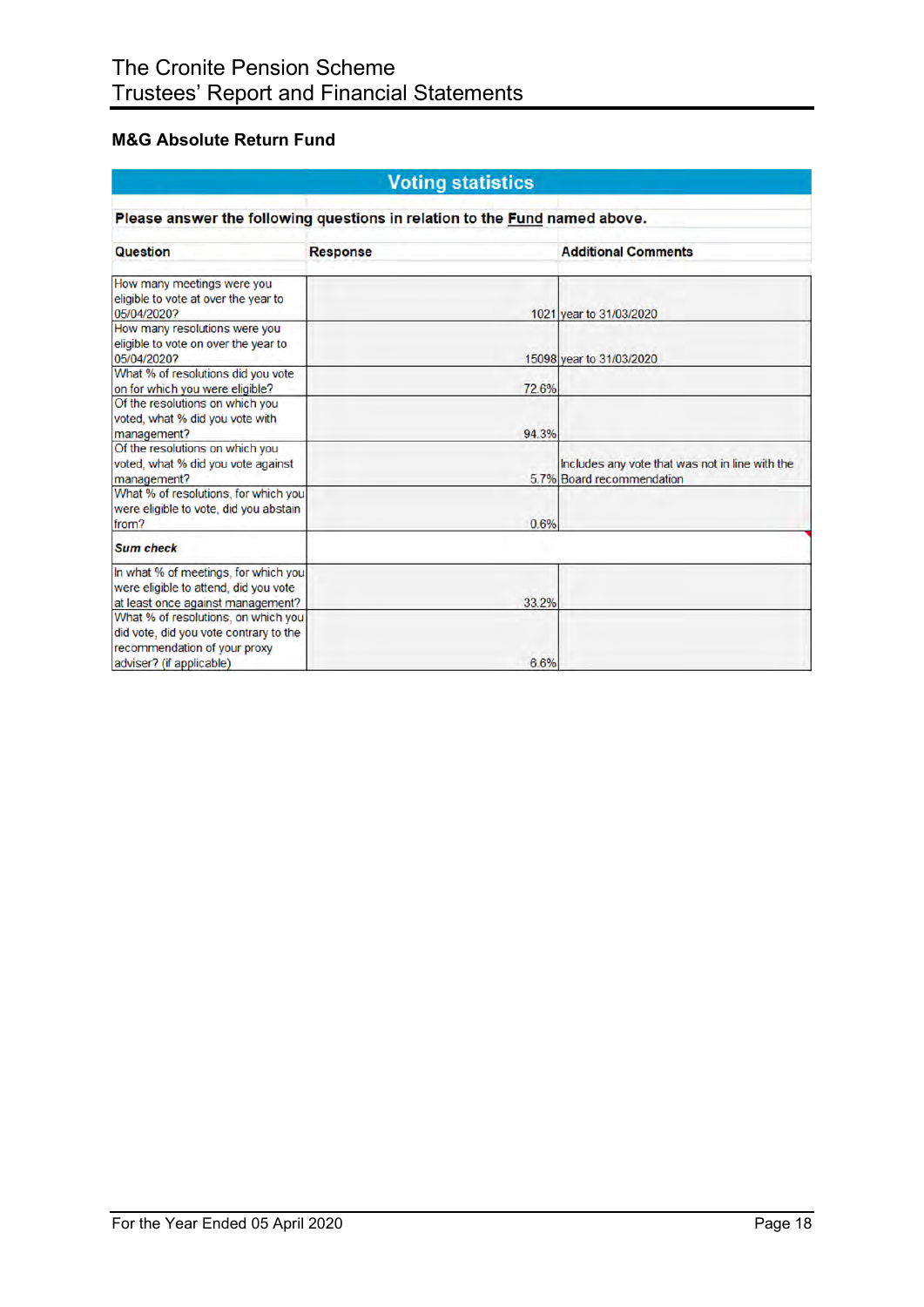## **M&G Absolute Return Fund**

| <b>Voting statistics</b>                                                                                           |                 |                                                                              |  |  |  |  |  |
|--------------------------------------------------------------------------------------------------------------------|-----------------|------------------------------------------------------------------------------|--|--|--|--|--|
| Please answer the following questions in relation to the Fund named above.                                         |                 |                                                                              |  |  |  |  |  |
| <b>Question</b>                                                                                                    | <b>Response</b> | <b>Additional Comments</b>                                                   |  |  |  |  |  |
| How many meetings were you<br>eligible to vote at over the year to<br>05/04/2020?                                  |                 | 1021 year to 31/03/2020                                                      |  |  |  |  |  |
| How many resolutions were you<br>eligible to vote on over the year to<br>05/04/2020?                               |                 | 15098 year to 31/03/2020                                                     |  |  |  |  |  |
| What % of resolutions did you vote<br>on for which you were eligible?                                              | 72.6%           |                                                                              |  |  |  |  |  |
| Of the resolutions on which you<br>voted, what % did you vote with<br>management?                                  | 94.3%           |                                                                              |  |  |  |  |  |
| Of the resolutions on which you<br>voted, what % did you vote against<br>management?                               |                 | Includes any vote that was not in line with the<br>5.7% Board recommendation |  |  |  |  |  |
| What % of resolutions, for which you<br>were eligible to vote, did you abstain<br>from?                            | 0.6%            |                                                                              |  |  |  |  |  |
| <b>Sum check</b>                                                                                                   |                 |                                                                              |  |  |  |  |  |
| In what % of meetings, for which you<br>were eligible to attend, did you vote<br>at least once against management? | 33.2%           |                                                                              |  |  |  |  |  |
| What % of resolutions, on which you<br>did vote, did you vote contrary to the<br>recommendation of your proxy      |                 |                                                                              |  |  |  |  |  |
| adviser? (if applicable)                                                                                           | 6.6%            |                                                                              |  |  |  |  |  |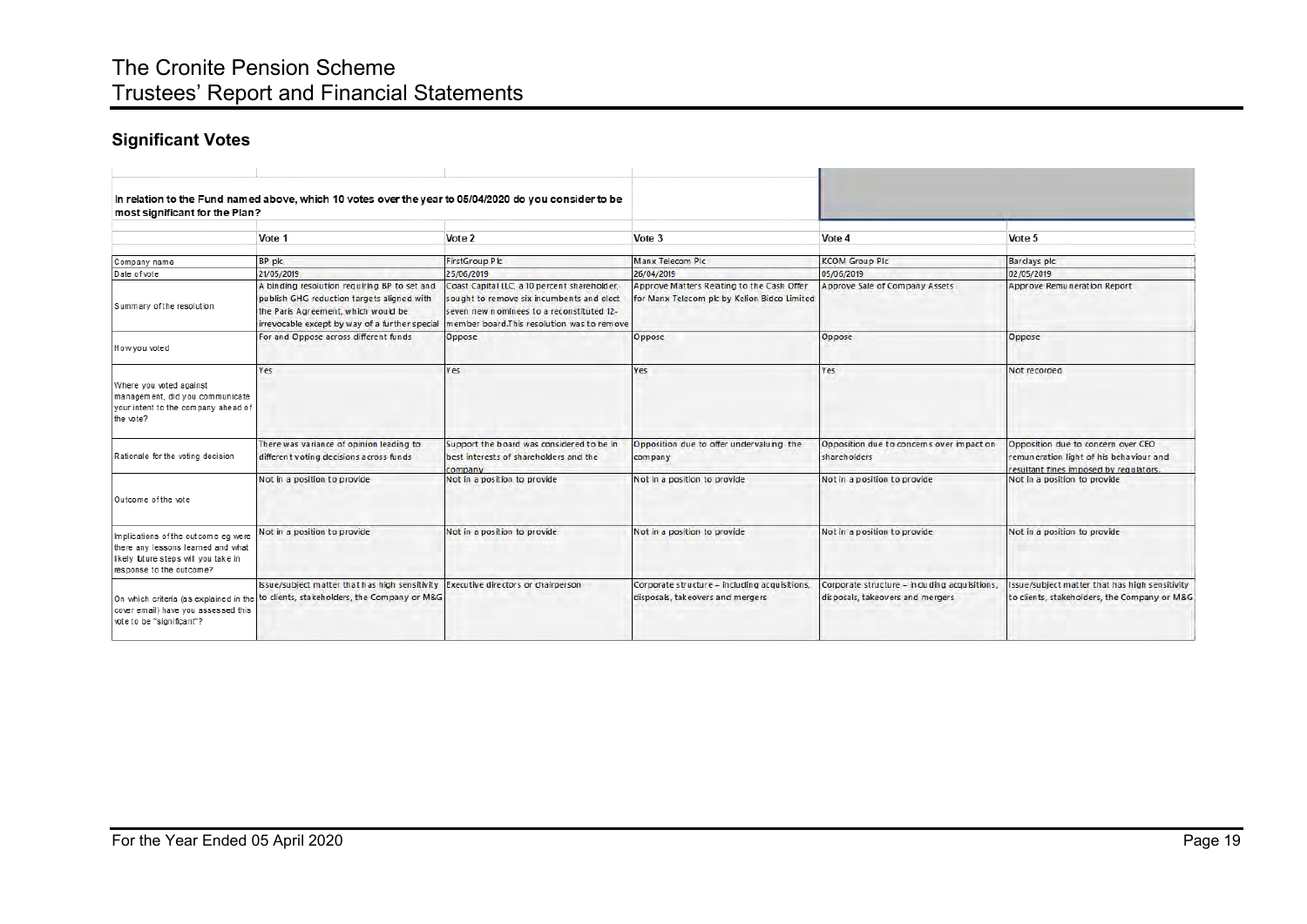# The Cronite Pension Scheme Trustees' Report and Financial Statements

# **Significant Votes**

| most significant for the Plan?                                                                                                                | In relation to the Fund named above, which 10 votes over the year to 05/04/2020 do you consider to be                                                                               |                                                                                                                                                                                      |                                                                                            |                                                                                    |                                                                                                                         |
|-----------------------------------------------------------------------------------------------------------------------------------------------|-------------------------------------------------------------------------------------------------------------------------------------------------------------------------------------|--------------------------------------------------------------------------------------------------------------------------------------------------------------------------------------|--------------------------------------------------------------------------------------------|------------------------------------------------------------------------------------|-------------------------------------------------------------------------------------------------------------------------|
|                                                                                                                                               | Vote 1                                                                                                                                                                              | Vote 2                                                                                                                                                                               | Vote 3                                                                                     | Vote 4                                                                             | Vote 5                                                                                                                  |
| Company name                                                                                                                                  | BP plc                                                                                                                                                                              | <b>FirstGroup Plc</b>                                                                                                                                                                | <b>Manx Telecom Plc</b>                                                                    | <b>KCOM Group PIc</b>                                                              | <b>Barclays plc</b>                                                                                                     |
| Date of vote                                                                                                                                  | 21/05/2019                                                                                                                                                                          | 25/06/2019                                                                                                                                                                           | 26/04/2019                                                                                 | 05/06/2019                                                                         | 02/05/2019                                                                                                              |
| Summary of the resolution                                                                                                                     | A binding resolution requiring BP to set and<br>publish GHG reduction targets aligned with<br>the Paris Agreement, which would be<br>irrevocable except by way of a further special | Coast Capital LLC, a 10 percent shareholder,<br>sought to remove six incumbents and elect<br>seven new nominees to a reconstituted 12-<br>member board.This resolution was to remove | Approve Matters Relating to the Cash Offer<br>for Manx Telecom plc by Kelion Bidco Limited | Approve Sale of Company Assets                                                     | Approve Remuneration Report                                                                                             |
| How you voted                                                                                                                                 | For and Oppose across different funds                                                                                                                                               | Oppose                                                                                                                                                                               | Oppose                                                                                     | Oppose                                                                             | Oppose                                                                                                                  |
| Where you voted against<br>management, did you communicate<br>your intent to the company ahead of<br>the vote?                                | Yes                                                                                                                                                                                 | Y es                                                                                                                                                                                 | Yes                                                                                        | Yes                                                                                | Not recorded                                                                                                            |
| Rationale for the voting decision                                                                                                             | There was variance of opinion leading to<br>different voting decisions across funds                                                                                                 | Support the board was considered to be in<br>best interests of shareholders and the<br>company                                                                                       | Opposition due to offer undervaluing the<br>company                                        | Opposition due to concerns over impact on<br>shareholders                          | Opposition due to concern over CEO<br>remuneration light of his behaviour and<br>resultant fines imposed by requlators. |
| Outcome of the vote                                                                                                                           | Not in a position to provide                                                                                                                                                        | Not in a position to provide                                                                                                                                                         | Not in a position to provide                                                               | Not in a position to provide                                                       | Not in a position to provide                                                                                            |
| Implications of the outcome eq were<br>there any lessons learned and what<br>likely future steps will you take in<br>response to the outcome? | Not in a position to provide                                                                                                                                                        | Not in a position to provide                                                                                                                                                         | Not in a position to provide                                                               | Not in a position to provide                                                       | Not in a position to provide                                                                                            |
| On which criteria (as explained in the<br>cover email) have you assessed this<br>vote to be "significant"?                                    | Issue/subject matter that has high sensitivity<br>to clients, stakeholders, the Company or M&G                                                                                      | Executive directors or chairperson                                                                                                                                                   | Corporate structure - including acquisitions,<br>disposals, takeovers and mergers          | Corporate structure - in cluding acquisitions,<br>disposals, takeovers and mergers | Issue/subject matter that has high sensitivity<br>to clients, stakeholders, the Company or M&G                          |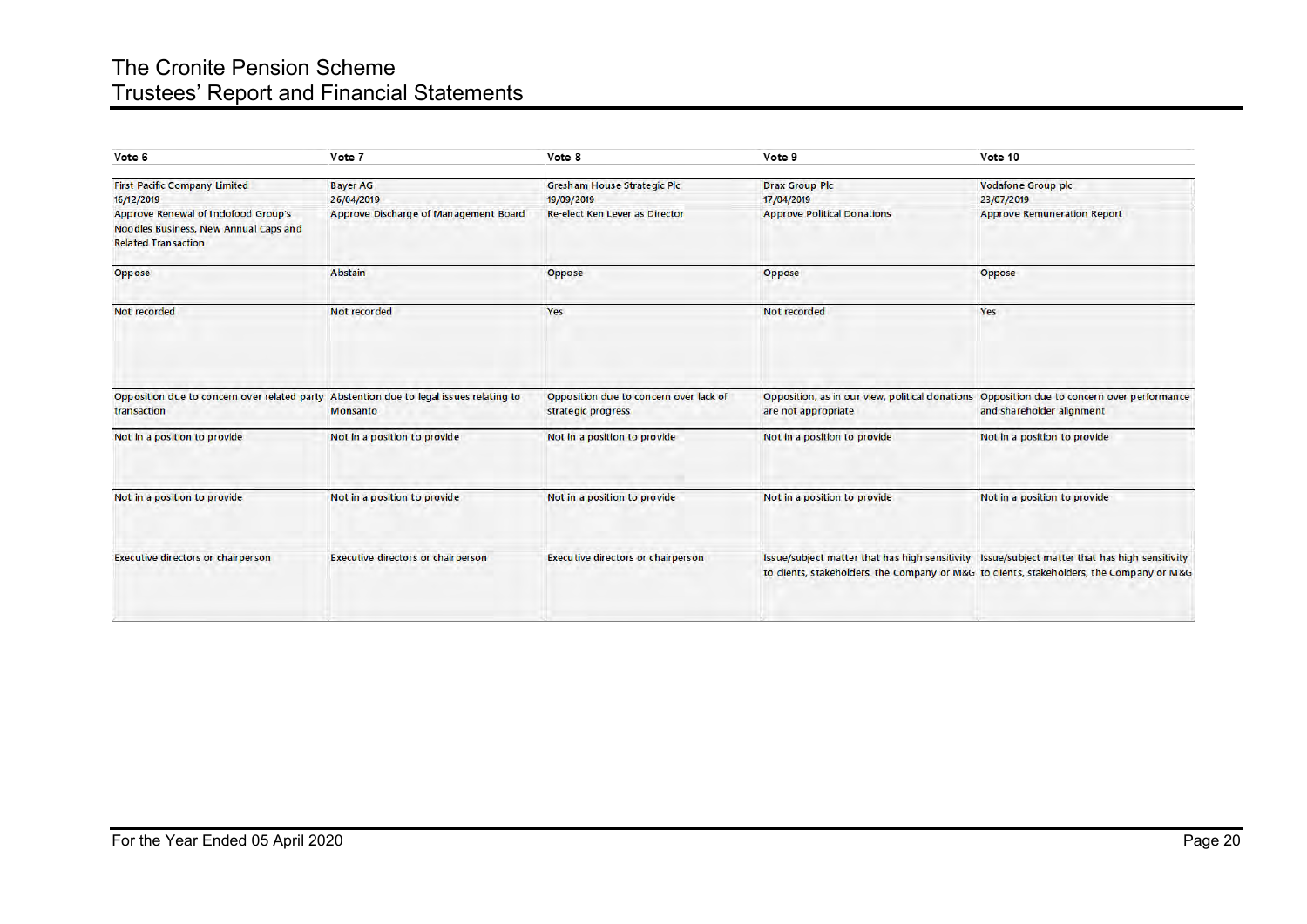# The Cronite Pension Scheme Trustees' Report and Financial Statements

| Vote 6                                                                                                            | Vote 7                                                 | Vote 8                                                       | Vote 9                                                                 | Vote 10                                                                                                                                                                                      |
|-------------------------------------------------------------------------------------------------------------------|--------------------------------------------------------|--------------------------------------------------------------|------------------------------------------------------------------------|----------------------------------------------------------------------------------------------------------------------------------------------------------------------------------------------|
| <b>First Pacific Company Limited</b>                                                                              | <b>Bayer AG</b>                                        | <b>Gresham House Strategic Plc</b>                           | <b>Drax Group Plc</b>                                                  | Vodafone Group plc                                                                                                                                                                           |
| 16/12/2019                                                                                                        | 26/04/2019                                             | 19/09/2019                                                   | 17/04/2019                                                             | 23/07/2019                                                                                                                                                                                   |
| <b>Approve Renewal of Indofood Group's</b><br>Noodles Business, New Annual Caps and<br><b>Related Transaction</b> | Approve Discharge of Management Board                  | <b>Re-elect Ken Lever as Director</b>                        | <b>Approve Political Donations</b>                                     | <b>Approve Remuneration Report</b>                                                                                                                                                           |
| Oppose                                                                                                            | Abstain                                                | Oppose                                                       | Oppose                                                                 | Oppose                                                                                                                                                                                       |
| Not recorded                                                                                                      | Not recorded                                           | <b>Yes</b>                                                   | Not recorded                                                           | <b>Yes</b>                                                                                                                                                                                   |
| Opposition due to concern over related party<br>transaction                                                       | Abstention due to legal issues relating to<br>Monsanto | Opposition due to concern over lack of<br>strategic progress | Opposition, as in our view, political donations<br>are not appropriate | Opposition due to concern over performance<br>and shareholder alignment                                                                                                                      |
| Not in a position to provide                                                                                      | Not in a position to provide                           | Not in a position to provide                                 | Not in a position to provide                                           | Not in a position to provide                                                                                                                                                                 |
| Not in a position to provide                                                                                      | Not in a position to provide                           | Not in a position to provide                                 | Not in a position to provide                                           | Not in a position to provide                                                                                                                                                                 |
| <b>Executive directors or chairperson</b>                                                                         | <b>Executive directors or chairperson</b>              | <b>Executive directors or chairperson</b>                    |                                                                        | Issue/subject matter that has high sensitivity   Issue/subject matter that has high sensitivity<br>to clients, stakeholders, the Company or M&G to clients, stakeholders, the Company or M&G |
|                                                                                                                   |                                                        |                                                              |                                                                        |                                                                                                                                                                                              |